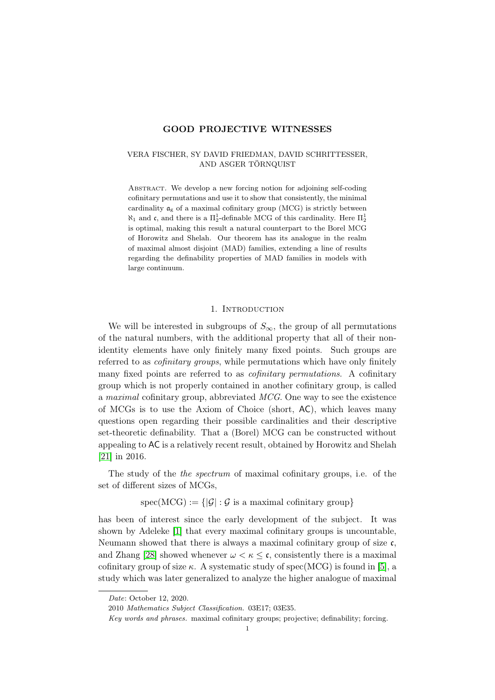## GOOD PROJECTIVE WITNESSES

## VERA FISCHER, SY DAVID FRIEDMAN, DAVID SCHRITTESSER, AND ASGER TÖRNQUIST

Abstract. We develop a new forcing notion for adjoining self-coding cofinitary permutations and use it to show that consistently, the minimal cardinality  $\mathfrak{a}_{\mathrm{g}}$  of a maximal cofinitary group (MCG) is strictly between  $\aleph_1$  and c, and there is a  $\Pi_2^1$ -definable MCG of this cardinality. Here  $\Pi_2^1$ is optimal, making this result a natural counterpart to the Borel MCG of Horowitz and Shelah. Our theorem has its analogue in the realm of maximal almost disjoint (MAD) families, extending a line of results regarding the definability properties of MAD families in models with large continuum.

### 1. INTRODUCTION

We will be interested in subgroups of  $S_{\infty}$ , the group of all permutations of the natural numbers, with the additional property that all of their nonidentity elements have only finitely many fixed points. Such groups are referred to as cofinitary groups, while permutations which have only finitely many fixed points are referred to as *cofinitary permutations*. A cofinitary group which is not properly contained in another cofinitary group, is called a maximal cofinitary group, abbreviated MCG. One way to see the existence of MCGs is to use the Axiom of Choice (short, AC), which leaves many questions open regarding their possible cardinalities and their descriptive set-theoretic definability. That a (Borel) MCG can be constructed without appealing to AC is a relatively recent result, obtained by Horowitz and Shelah [\[21\]](#page-32-0) in 2016.

The study of the *the spectrum* of maximal cofinitary groups, i.e. of the set of different sizes of MCGs,

 $spec(MCG) := \{|\mathcal{G}| : \mathcal{G}$  is a maximal cofinitary group}

has been of interest since the early development of the subject. It was shown by Adeleke [\[1\]](#page-31-0) that every maximal cofinitary groups is uncountable, Neumann showed that there is always a maximal cofinitary group of size  $\mathfrak{c}$ . and Zhang [\[28\]](#page-32-1) showed whenever  $\omega < \kappa \leq \mathfrak{c}$ , consistently there is a maximal cofinitary group of size  $\kappa$ . A systematic study of spec(MCG) is found in [\[5\]](#page-31-1), a study which was later generalized to analyze the higher analogue of maximal

Date: October 12, 2020.

<sup>2010</sup> Mathematics Subject Classification. 03E17; 03E35.

Key words and phrases. maximal cofinitary groups; projective; definability; forcing.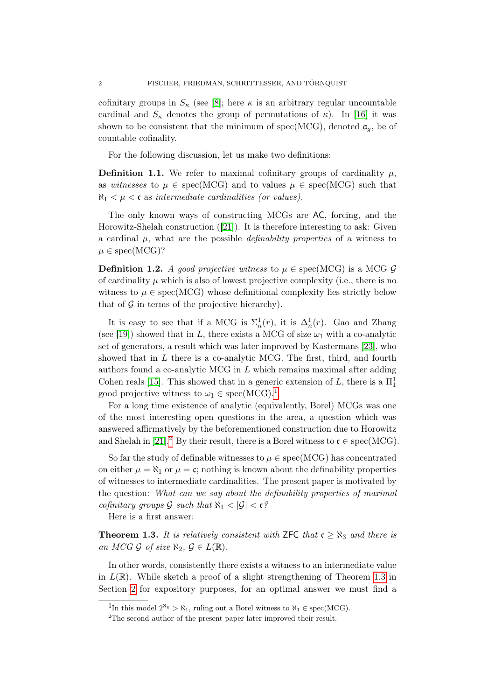cofinitary groups in  $S_{\kappa}$  (see [\[8\]](#page-31-2); here  $\kappa$  is an arbitrary regular uncountable cardinal and  $S_{\kappa}$  denotes the group of permutations of  $\kappa$ ). In [\[16\]](#page-31-3) it was shown to be consistent that the minimum of spec(MCG), denoted  $\mathfrak{a}_q$ , be of countable cofinality.

For the following discussion, let us make two definitions:

<span id="page-1-3"></span>**Definition 1.1.** We refer to maximal cofinitary groups of cardinality  $\mu$ , as witnesses to  $\mu \in \text{spec}(MCG)$  and to values  $\mu \in \text{spec}(MCG)$  such that  $\aleph_1 < \mu < \mathfrak{c}$  as intermediate cardinalities (or values).

The only known ways of constructing MCGs are AC, forcing, and the Horowitz-Shelah construction ([\[21\]](#page-32-0)). It is therefore interesting to ask: Given a cardinal  $\mu$ , what are the possible *definability properties* of a witness to  $\mu \in \text{spec}(MCG)?$ 

<span id="page-1-4"></span>**Definition 1.2.** A good projective witness to  $\mu \in \text{spec}(MCG)$  is a MCG G of cardinality  $\mu$  which is also of lowest projective complexity (i.e., there is no witness to  $\mu \in \text{spec}(MCG)$  whose definitional complexity lies strictly below that of  $\mathcal G$  in terms of the projective hierarchy).

It is easy to see that if a MCG is  $\Sigma_n^1(r)$ , it is  $\Delta_n^1(r)$ . Gao and Zhang (see [\[19\]](#page-31-4)) showed that in L, there exists a MCG of size  $\omega_1$  with a co-analytic set of generators, a result which was later improved by Kastermans [\[23\]](#page-32-2), who showed that in  $L$  there is a co-analytic MCG. The first, third, and fourth authors found a co-analytic MCG in L which remains maximal after adding Cohen reals [\[15\]](#page-31-5). This showed that in a generic extension of L, there is a  $\Pi^1_1$ good projective witness to  $\omega_1 \in \text{spec}(\text{MCG})$  $\omega_1 \in \text{spec}(\text{MCG})$  $\omega_1 \in \text{spec}(\text{MCG})$ .<sup>1</sup>

For a long time existence of analytic (equivalently, Borel) MCGs was one of the most interesting open questions in the area, a question which was answered affirmatively by the beforementioned construction due to Horowitz and Shelah in [\[21\]](#page-32-0).<sup>[2](#page-1-1)</sup> By their result, there is a Borel witness to  $\mathfrak{c} \in \text{spec}(MCG)$ .

So far the study of definable witnesses to  $\mu \in \text{spec}(MCG)$  has concentrated on either  $\mu = \aleph_1$  or  $\mu = \mathfrak{c}$ ; nothing is known about the definability properties of witnesses to intermediate cardinalities. The present paper is motivated by the question: What can we say about the definability properties of maximal cofinitary groups G such that  $\aleph_1 < |\mathcal{G}| < \mathfrak{c}$ ?

Here is a first answer:

<span id="page-1-2"></span>**Theorem 1.3.** It is relatively consistent with ZFC that  $c \geq \aleph_3$  and there is an MCG G of size  $\aleph_2$ ,  $\mathcal{G} \in L(\mathbb{R})$ .

In other words, consistently there exists a witness to an intermediate value in  $L(\mathbb{R})$ . While sketch a proof of a slight strengthening of Theorem [1.3](#page-1-2) in Section [2](#page-4-0) for expository purposes, for an optimal answer we must find a

<span id="page-1-0"></span><sup>&</sup>lt;sup>1</sup>In this model  $2^{\aleph_0} > \aleph_1$ , ruling out a Borel witness to  $\aleph_1 \in \text{spec}(MCG)$ .

<span id="page-1-1"></span><sup>2</sup>The second author of the present paper later improved their result.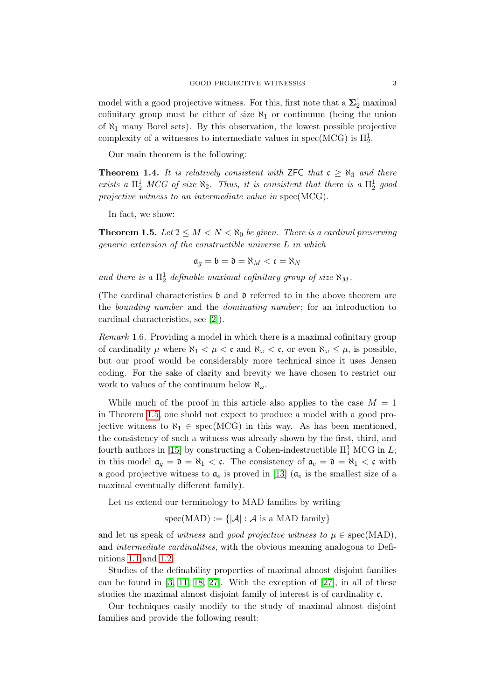model with a good projective witness. For this, first note that a  $\mathbf{\Sigma}^1_2$  maximal cofinitary group must be either of size  $\aleph_1$  or continuum (being the union of  $\aleph_1$  many Borel sets). By this observation, the lowest possible projective complexity of a witnesses to intermediate values in spec(MCG) is  $\Pi_2^1$ .

Our main theorem is the following:

**Theorem 1.4.** It is relatively consistent with ZFC that  $c \geq \aleph_3$  and there exists a  $\Pi_2^1$  MCG of size  $\aleph_2$ . Thus, it is consistent that there is a  $\Pi_2^1$  good projective witness to an intermediate value in spec(MCG).

In fact, we show:

<span id="page-2-0"></span>**Theorem 1.5.** Let  $2 \leq M < N < \aleph_0$  be given. There is a cardinal preserving generic extension of the constructible universe L in which

$$
\mathfrak{a}_g = \mathfrak{b} = \mathfrak{d} = \aleph_M < \mathfrak{c} = \aleph_N
$$

and there is a  $\Pi^1_2$  definable maximal cofinitary group of size  $\aleph_M$ .

(The cardinal characteristics  $\mathfrak b$  and  $\mathfrak d$  referred to in the above theorem are the bounding number and the dominating number ; for an introduction to cardinal characteristics, see [\[2\]](#page-31-6)).

Remark 1.6. Providing a model in which there is a maximal cofinitary group of cardinality  $\mu$  where  $\aleph_1 < \mu < \mathfrak{c}$  and  $\aleph_\omega < \mathfrak{c}$ , or even  $\aleph_\omega \leq \mu$ , is possible, but our proof would be considerably more technical since it uses Jensen coding. For the sake of clarity and brevity we have chosen to restrict our work to values of the continuum below  $\aleph_{\omega}$ .

While much of the proof in this article also applies to the case  $M = 1$ in Theorem [1.5,](#page-2-0) one shold not expect to produce a model with a good projective witness to  $\aleph_1 \in \text{spec}(MCG)$  in this way. As has been mentioned, the consistency of such a witness was already shown by the first, third, and fourth authors in [\[15\]](#page-31-5) by constructing a Cohen-indestructible  $\Pi_1^1$  MCG in  $L$ ; in this model  $\mathfrak{a}_g = \mathfrak{d} = \mathfrak{d}_1 < \mathfrak{c}$ . The consistency of  $\mathfrak{a}_e = \mathfrak{d} = \mathfrak{d}_1 < \mathfrak{c}$  with a good projective witness to  $a_e$  is proved in [\[13\]](#page-31-7) ( $a_e$  is the smallest size of a maximal eventually different family).

Let us extend our terminology to MAD families by writing

 $spec(MAD) := \{|\mathcal{A}| : \mathcal{A} \text{ is a MAD family}\}\$ 

and let us speak of witness and good projective witness to  $\mu \in \text{spec}(MAD)$ . and intermediate cardinalities, with the obvious meaning analogous to Definitions [1.1](#page-1-3) and [1.2.](#page-1-4)

Studies of the definability properties of maximal almost disjoint families can be found in [\[3,](#page-31-8) [11,](#page-31-9) [18,](#page-31-10) [27\]](#page-32-3). With the exception of [\[27\]](#page-32-3), in all of these studies the maximal almost disjoint family of interest is of cardinality c.

Our techniques easily modify to the study of maximal almost disjoint families and provide the following result: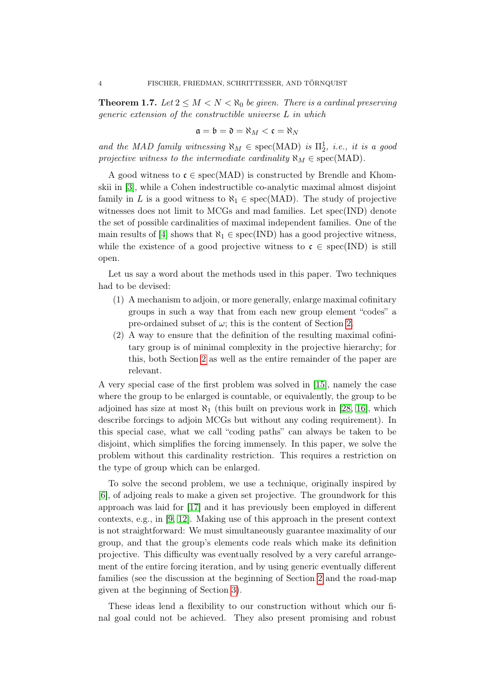**Theorem 1.7.** Let  $2 \leq M < N < \aleph_0$  be given. There is a cardinal preserving generic extension of the constructible universe L in which

$$
\mathfrak{a}=\mathfrak{b}=\mathfrak{d}=\aleph_M<\mathfrak{c}=\aleph_N
$$

and the MAD family witnessing  $\aleph_M \in \text{spec}(MAD)$  is  $\Pi_2^1$ , i.e., it is a good projective witness to the intermediate cardinality  $\aleph_M \in \text{spec}(MAD)$ .

A good witness to  $\mathfrak{c} \in \text{spec}(MAD)$  is constructed by Brendle and Khomskii in [\[3\]](#page-31-8), while a Cohen indestructible co-analytic maximal almost disjoint family in L is a good witness to  $\aleph_1 \in \text{spec}(MAD)$ . The study of projective witnesses does not limit to MCGs and mad families. Let spec(IND) denote the set of possible cardinalities of maximal independent families. One of the main results of [\[4\]](#page-31-11) shows that  $\aleph_1 \in \text{spec}(\text{IND})$  has a good projective witness, while the existence of a good projective witness to  $\mathfrak{c} \in \text{spec(IND)}$  is still open.

Let us say a word about the methods used in this paper. Two techniques had to be devised:

- (1) A mechanism to adjoin, or more generally, enlarge maximal cofinitary groups in such a way that from each new group element "codes" a pre-ordained subset of  $\omega$ ; this is the content of Section [2.](#page-4-0)
- (2) A way to ensure that the definition of the resulting maximal cofinitary group is of minimal complexity in the projective hierarchy; for this, both Section [2](#page-4-0) as well as the entire remainder of the paper are relevant.

A very special case of the first problem was solved in [\[15\]](#page-31-5), namely the case where the group to be enlarged is countable, or equivalently, the group to be adjoined has size at most  $\aleph_1$  (this built on previous work in [\[28,](#page-32-1) [16\]](#page-31-3), which describe forcings to adjoin MCGs but without any coding requirement). In this special case, what we call "coding paths" can always be taken to be disjoint, which simplifies the forcing immensely. In this paper, we solve the problem without this cardinality restriction. This requires a restriction on the type of group which can be enlarged.

To solve the second problem, we use a technique, originally inspired by [\[6\]](#page-31-12), of adjoing reals to make a given set projective. The groundwork for this approach was laid for [\[17\]](#page-31-13) and it has previously been employed in different contexts, e.g., in [\[9,](#page-31-14) [12\]](#page-31-15). Making use of this approach in the present context is not straightforward: We must simultaneously guarantee maximality of our group, and that the group's elements code reals which make its definition projective. This difficulty was eventually resolved by a very careful arrangement of the entire forcing iteration, and by using generic eventually different families (see the discussion at the beginning of Section [2](#page-4-0) and the road-map given at the beginning of Section [3\)](#page-19-0).

These ideas lend a flexibility to our construction without which our final goal could not be achieved. They also present promising and robust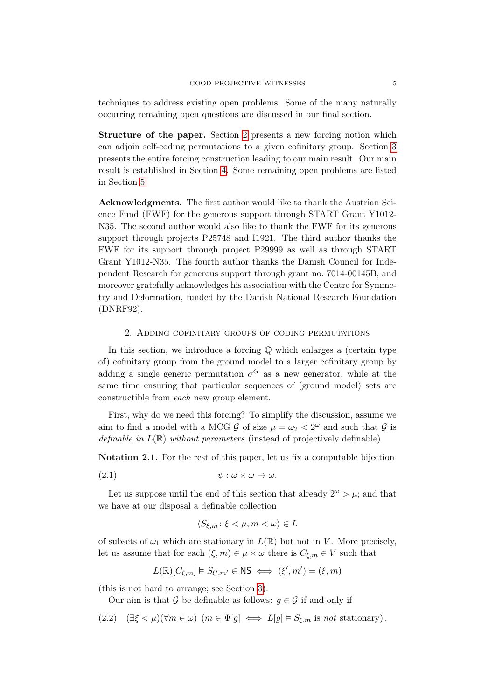techniques to address existing open problems. Some of the many naturally occurring remaining open questions are discussed in our final section.

Structure of the paper. Section [2](#page-4-0) presents a new forcing notion which can adjoin self-coding permutations to a given cofinitary group. Section [3](#page-19-0) presents the entire forcing construction leading to our main result. Our main result is established in Section [4.](#page-26-0) Some remaining open problems are listed in Section [5.](#page-30-0)

Acknowledgments. The first author would like to thank the Austrian Science Fund (FWF) for the generous support through START Grant Y1012- N35. The second author would also like to thank the FWF for its generous support through projects P25748 and I1921. The third author thanks the FWF for its support through project P29999 as well as through START Grant Y1012-N35. The fourth author thanks the Danish Council for Independent Research for generous support through grant no. 7014-00145B, and moreover gratefully acknowledges his association with the Centre for Symmetry and Deformation, funded by the Danish National Research Foundation (DNRF92).

#### 2. Adding cofinitary groups of coding permutations

<span id="page-4-0"></span>In this section, we introduce a forcing  $\mathbb Q$  which enlarges a (certain type of) cofinitary group from the ground model to a larger cofinitary group by adding a single generic permutation  $\sigma$ <sup>G</sup> as a new generator, while at the same time ensuring that particular sequences of (ground model) sets are constructible from each new group element.

First, why do we need this forcing? To simplify the discussion, assume we aim to find a model with a MCG  $\mathcal G$  of size  $\mu = \omega_2 < 2^{\omega}$  and such that  $\mathcal G$  is definable in  $L(\mathbb{R})$  without parameters (instead of projectively definable).

Notation 2.1. For the rest of this paper, let us fix a computable bijection

$$
(2.1) \t\t\t \psi : \omega \times \omega \to \omega.
$$

Let us suppose until the end of this section that already  $2^{\omega} > \mu$ ; and that we have at our disposal a definable collection

<span id="page-4-2"></span>
$$
\langle S_{\xi,m} \colon \xi < \mu, m < \omega \rangle \in L
$$

of subsets of  $\omega_1$  which are stationary in  $L(\mathbb{R})$  but not in V. More precisely, let us assume that for each  $(\xi, m) \in \mu \times \omega$  there is  $C_{\xi,m} \in V$  such that

$$
L(\mathbb{R})[C_{\xi,m}] \models S_{\xi',m'} \in \mathsf{NS} \iff (\xi',m') = (\xi,m)
$$

(this is not hard to arrange; see Section [3\)](#page-19-0).

<span id="page-4-1"></span>Our aim is that G be definable as follows:  $g \in \mathcal{G}$  if and only if

(2.2) 
$$
(\exists \xi < \mu)(\forall m \in \omega) \ (m \in \Psi[g] \iff L[g] \models S_{\xi,m} \text{ is not stationary}).
$$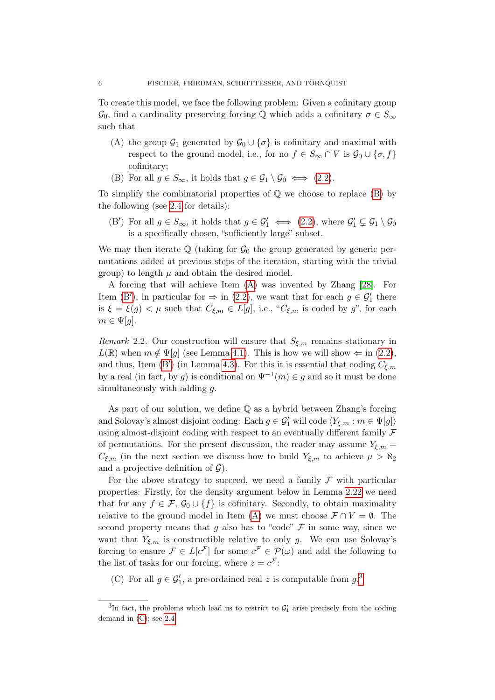To create this model, we face the following problem: Given a cofinitary group  $\mathcal{G}_0$ , find a cardinality preserving forcing Q which adds a cofinitary  $\sigma \in S_{\infty}$ such that

- <span id="page-5-1"></span>(A) the group  $\mathcal{G}_1$  generated by  $\mathcal{G}_0 \cup {\sigma}$  is cofinitary and maximal with respect to the ground model, i.e., for no  $f \in S_{\infty} \cap V$  is  $\mathcal{G}_0 \cup \{\sigma, f\}$ cofinitary;
- <span id="page-5-0"></span>(B) For all  $g \in S_{\infty}$ , it holds that  $g \in \mathcal{G}_1 \setminus \mathcal{G}_0 \iff (2.2)$  $g \in \mathcal{G}_1 \setminus \mathcal{G}_0 \iff (2.2)$ .

To simplify the combinatorial properties of  $\mathbb Q$  we choose to replace  $(B)$  by the following (see [2.4](#page-7-0) for details):

<span id="page-5-2"></span>(B') For all  $g \in S_{\infty}$ , it holds that  $g \in \mathcal{G}'_1 \iff (2.2)$  $g \in \mathcal{G}'_1 \iff (2.2)$ , where  $\mathcal{G}'_1 \subsetneq \mathcal{G}_1 \setminus \mathcal{G}_0$ is a specifically chosen, "sufficiently large" subset.

We may then iterate  $\mathbb Q$  (taking for  $\mathcal G_0$  the group generated by generic permutations added at previous steps of the iteration, starting with the trivial group) to length  $\mu$  and obtain the desired model.

A forcing that will achieve Item [\(A\)](#page-5-1) was invented by Zhang [\[28\]](#page-32-1). For Item [\(B](#page-5-2)'), in particular for  $\Rightarrow$  in [\(2.2\)](#page-4-1), we want that for each  $g \in \mathcal{G}'_1$  there is  $\xi = \xi(g) < \mu$  such that  $C_{\xi,m} \in L[g]$ , i.e., " $C_{\xi,m}$  is coded by g", for each  $m \in \Psi[g].$ 

Remark 2.2. Our construction will ensure that  $S_{\xi,m}$  remains stationary in  $L(\mathbb{R})$  when  $m \notin \Psi[q]$  (see Lemma [4.1\)](#page-27-0). This is how we will show  $\Leftarrow$  in [\(2.2\)](#page-4-1), and thus, Item [\(B](#page-5-2)') (in Lemma [4.3\)](#page-28-0). For this it is essential that coding  $C_{\xi,m}$ by a real (in fact, by g) is conditional on  $\Psi^{-1}(m) \in g$  and so it must be done simultaneously with adding q.

As part of our solution, we define Q as a hybrid between Zhang's forcing and Solovay's almost disjoint coding: Each  $g \in \mathcal{G}'_1$  will code  $\langle Y_{\xi,m} : m \in \Psi[g] \rangle$ using almost-disjoint coding with respect to an eventually different family  $\mathcal F$ of permutations. For the present discussion, the reader may assume  $Y_{\xi,m}$  =  $C_{\xi,m}$  (in the next section we discuss how to build  $Y_{\xi,m}$  to achieve  $\mu > \aleph_2$ and a projective definition of  $\mathcal{G}$ ).

For the above strategy to succeed, we need a family  $\mathcal F$  with particular properties: Firstly, for the density argument below in Lemma [2.22](#page-18-0) we need that for any  $f \in \mathcal{F}$ ,  $\mathcal{G}_0 \cup \{f\}$  is cofinitary. Secondly, to obtain maximality relative to the ground model in Item [\(A\)](#page-5-1) we must choose  $\mathcal{F} \cap V = \emptyset$ . The second property means that g also has to "code"  $\mathcal F$  in some way, since we want that  $Y_{\xi,m}$  is constructible relative to only g. We can use Solovay's forcing to ensure  $\mathcal{F} \in L[c^{\mathcal{F}}]$  for some  $c^{\mathcal{F}} \in \mathcal{P}(\omega)$  and add the following to the list of tasks for our forcing, where  $z = c^{\mathcal{F}}$ :

<span id="page-5-4"></span>(C) For all  $g \in \mathcal{G}'_1$ , a pre-ordained real z is computable from  $g^3$  $g^3$ .

<span id="page-5-3"></span> ${}^{3}\text{In}$  fact, the problems which lead us to restrict to  $\mathcal{G}'_1$  arise precisely from the coding demand in  $(C)$ ; see [2.4.](#page-7-0)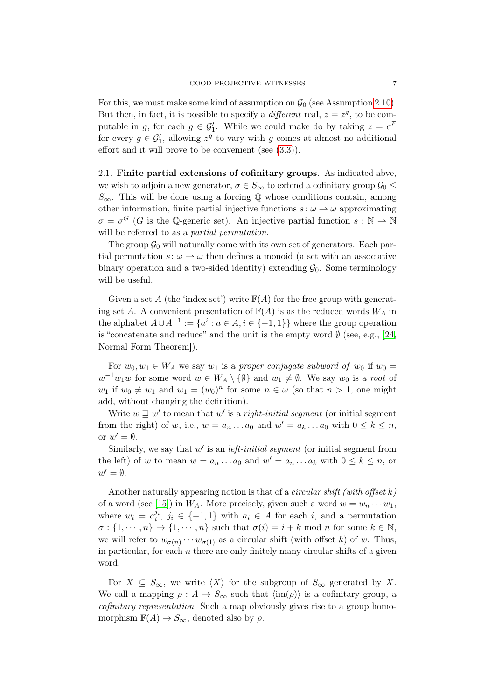For this, we must make some kind of assumption on  $\mathcal{G}_0$  (see Assumption [2.10\)](#page-11-0). But then, in fact, it is possible to specify a *different* real,  $z = z<sup>g</sup>$ , to be computable in g, for each  $g \in \mathcal{G}'_1$ . While we could make do by taking  $z = c^{\mathcal{F}}$ for every  $g \in \mathcal{G}'_1$ , allowing  $z^g$  to vary with g comes at almost no additional effort and it will prove to be convenient (see [\(3.3\)](#page-25-0)).

<span id="page-6-0"></span>2.1. Finite partial extensions of cofinitary groups. As indicated abve, we wish to adjoin a new generator,  $\sigma \in S_{\infty}$  to extend a cofinitary group  $\mathcal{G}_0 \leq$  $S_{\infty}$ . This will be done using a forcing  $\mathbb Q$  whose conditions contain, among other information, finite partial injective functions  $s: \omega \to \omega$  approximating  $\sigma = \sigma^G$  (G is the Q-generic set). An injective partial function  $s : \mathbb{N} \to \mathbb{N}$ will be referred to as a *partial permutation*.

The group  $\mathcal{G}_0$  will naturally come with its own set of generators. Each partial permutation  $s: \omega \to \omega$  then defines a monoid (a set with an associative binary operation and a two-sided identity) extending  $\mathcal{G}_0$ . Some terminology will be useful.

Given a set A (the 'index set') write  $\mathbb{F}(A)$  for the free group with generating set A. A convenient presentation of  $\mathbb{F}(A)$  is as the reduced words  $W_A$  in the alphabet  $A \cup A^{-1} := \{a^i : a \in A, i \in \{-1,1\}\}\$  where the group operation is "concatenate and reduce" and the unit is the empty word  $\emptyset$  (see, e.g., [\[24,](#page-32-4) Normal Form Theorem]).

For  $w_0, w_1 \in W_A$  we say  $w_1$  is a proper conjugate subword of  $w_0$  if  $w_0 =$  $w^{-1}w_1w$  for some word  $w \in W_A \setminus \{\emptyset\}$  and  $w_1 \neq \emptyset$ . We say  $w_0$  is a root of  $w_1$  if  $w_0 \neq w_1$  and  $w_1 = (w_0)^n$  for some  $n \in \omega$  (so that  $n > 1$ , one might add, without changing the definition).

Write  $w \sqsupseteq w'$  to mean that  $w'$  is a *right-initial segment* (or initial segment from the right) of w, i.e.,  $w = a_n \dots a_0$  and  $w' = a_k \dots a_0$  with  $0 \le k \le n$ , or  $w' = \emptyset$ .

Similarly, we say that  $w'$  is an *left-initial segment* (or initial segment from the left) of w to mean  $w = a_n \dots a_0$  and  $w' = a_n \dots a_k$  with  $0 \le k \le n$ , or  $w' = \emptyset$ .

Another naturally appearing notion is that of a *circular shift (with offset k)* of a word (see [\[15\]](#page-31-5)) in  $W_A$ . More precisely, given such a word  $w = w_n \cdots w_1$ , where  $w_i = a_i^{j_i}, j_i \in \{-1,1\}$  with  $a_i \in A$  for each i, and a permutation  $\sigma : \{1, \dots, n\} \to \{1, \dots, n\}$  such that  $\sigma(i) = i + k \mod n$  for some  $k \in \mathbb{N}$ , we will refer to  $w_{\sigma(n)} \cdots w_{\sigma(1)}$  as a circular shift (with offset k) of w. Thus, in particular, for each  $n$  there are only finitely many circular shifts of a given word.

For  $X \subseteq S_{\infty}$ , we write  $\langle X \rangle$  for the subgroup of  $S_{\infty}$  generated by X. We call a mapping  $\rho : A \to S_{\infty}$  such that  $\langle \text{im}(\rho) \rangle$  is a cofinitary group, a cofinitary representation. Such a map obviously gives rise to a group homomorphism  $\mathbb{F}(A) \to S_{\infty}$ , denoted also by  $\rho$ .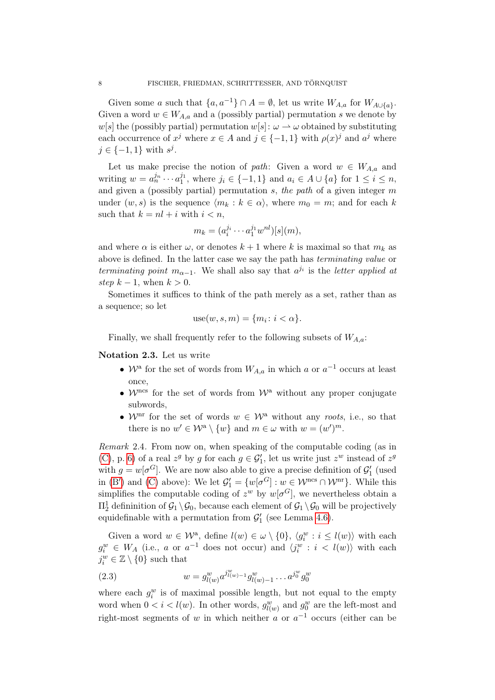Given some a such that  $\{a, a^{-1}\}\cap A = \emptyset$ , let us write  $W_{A,a}$  for  $W_{A\cup \{a\}}$ . Given a word  $w \in W_{A,a}$  and a (possibly partial) permutation s we denote by w[s] the (possibly partial) permutation  $w[s]: \omega \to \omega$  obtained by substituting each occurrence of  $x^j$  where  $x \in A$  and  $j \in \{-1,1\}$  with  $\rho(x)^j$  and  $a^j$  where  $j \in \{-1,1\}$  with  $s^j$ .

Let us make precise the notion of path: Given a word  $w \in W_{A,a}$  and writing  $w = a_n^{j_n} \cdots a_1^{j_1}$ , where  $j_i \in \{-1, 1\}$  and  $a_i \in A \cup \{a\}$  for  $1 \leq i \leq n$ , and given a (possibly partial) permutation  $s$ , the path of a given integer  $m$ under  $(w, s)$  is the sequence  $\langle m_k : k \in \alpha \rangle$ , where  $m_0 = m$ ; and for each k such that  $k = nl + i$  with  $i < n$ ,

$$
m_k = (a_i^{j_i} \cdots a_1^{j_1} w^{nl})[s](m),
$$

and where  $\alpha$  is either  $\omega$ , or denotes  $k+1$  where k is maximal so that  $m_k$  as above is defined. In the latter case we say the path has terminating value or terminating point  $m_{\alpha-1}$ . We shall also say that  $a^{j_i}$  is the letter applied at step  $k-1$ , when  $k > 0$ .

Sometimes it suffices to think of the path merely as a set, rather than as a sequence; so let

use
$$
(w, s, m) = \{m_i : i < \alpha\}.
$$

Finally, we shall frequently refer to the following subsets of  $W_{A,a}$ :

<span id="page-7-1"></span>Notation 2.3. Let us write

- $W^a$  for the set of words from  $W_{A,a}$  in which a or  $a^{-1}$  occurs at least once,
- $\mathcal{W}^{\text{ncs}}$  for the set of words from  $\mathcal{W}^{\text{a}}$  without any proper conjugate subwords,
- $\mathcal{W}$ <sup>nr</sup> for the set of words  $w \in \mathcal{W}^{\mathrm{a}}$  without any roots, i.e., so that there is no  $w' \in \mathcal{W}^a \setminus \{w\}$  and  $m \in \omega$  with  $w = (w')^m$ .

<span id="page-7-0"></span>Remark 2.4. From now on, when speaking of the computable coding (as in [\(C\)](#page-5-4), p. [6\)](#page-5-4) of a real  $z^g$  by g for each  $g \in \mathcal{G}'_1$ , let us write just  $z^w$  instead of  $z^g$ with  $g = w[\sigma^G]$ . We are now also able to give a precise definition of  $\mathcal{G}'_1$  (used in [\(B](#page-5-2)') and [\(C\)](#page-5-4) above): We let  $\mathcal{G}'_1 = \{w[\sigma^G] : w \in \mathcal{W}^{\text{ncs}} \cap \mathcal{W}^{\text{nr}}\}$ . While this simplifies the computable coding of  $z^w$  by  $w[\sigma^G]$ , we nevertheless obtain a  $\Pi^1_2$  defininition of  $\mathcal{G}_1 \setminus \mathcal{G}_0$ , because each element of  $\mathcal{G}_1 \setminus \mathcal{G}_0$  will be projectively equidefinable with a permutation from  $\mathcal{G}'_1$  (see Lemma [4.6\)](#page-29-0).

Given a word  $w \in \mathcal{W}^{\mathbf{a}},$  define  $l(w) \in \omega \setminus \{0\}, \langle g_i^w : i \leq l(w) \rangle$  with each  $g_i^w \in W_A$  (i.e., a or  $a^{-1}$  does not occur) and  $\langle j_i^w : i \langle l(w) \rangle$  with each  $j_i^w \in \mathbb{Z} \setminus \{0\}$  such that

(2.3) 
$$
w = g_{l(w)}^w a^{j_{l(w)}^w - 1} g_{l(w)-1}^w \dots a^{j_0^w} g_0^w
$$

where each  $g_i^w$  is of maximal possible length, but not equal to the empty word when  $0 < i < l(w)$ . In other words,  $g_{l(w)}^w$  and  $g_0^w$  are the left-most and right-most segments of w in which neither a or  $a^{-1}$  occurs (either can be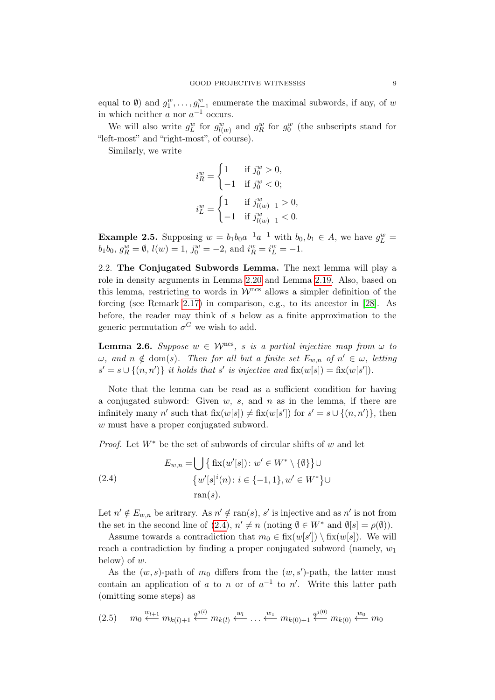equal to  $\emptyset$ ) and  $g_1^w, \ldots, g_{l-1}^w$  enumerate the maximal subwords, if any, of w in which neither  $a$  nor  $a^{-1}$  occurs.

We will also write  $g_L^w$  for  $g_{l(w)}^w$  and  $g_R^w$  for  $g_0^w$  (the subscripts stand for "left-most" and "right-most", of course).

Similarly, we write

$$
i_R^w = \begin{cases} 1 & \text{if } j_0^w > 0, \\ -1 & \text{if } j_0^w < 0; \end{cases}
$$
  

$$
i_L^w = \begin{cases} 1 & \text{if } j_{l(w)-1}^w > 0, \\ -1 & \text{if } j_{l(w)-1}^w < 0. \end{cases}
$$

**Example 2.5.** Supposing  $w = b_1b_0a^{-1}a^{-1}$  with  $b_0, b_1 \in A$ , we have  $g_L^w =$  $b_1b_0, g_R^w = \emptyset, l(w) = 1, j_0^w = -2, \text{ and } i_R^w = i_L^w = -1.$ 

2.2. The Conjugated Subwords Lemma. The next lemma will play a role in density arguments in Lemma [2.20](#page-18-1) and Lemma [2.19.](#page-17-0) Also, based on this lemma, restricting to words in  $\mathcal{W}^{\text{ncs}}$  allows a simpler definition of the forcing (see Remark [2.17\)](#page-17-1) in comparison, e.g., to its ancestor in [\[28\]](#page-32-1). As before, the reader may think of s below as a finite approximation to the generic permutation  $\sigma^G$  we wish to add.

<span id="page-8-2"></span>**Lemma 2.6.** Suppose  $w \in \mathcal{W}^{\text{ncs}}$ , s is a partial injective map from  $\omega$  to  $\omega$ , and  $n \notin \text{dom}(s)$ . Then for all but a finite set  $E_{w,n}$  of  $n' \in \omega$ , letting  $s' = s \cup \{(n, n')\}$  it holds that s' is injective and  $fix(w[s]) = fix(w[s'])$ .

Note that the lemma can be read as a sufficient condition for having a conjugated subword: Given  $w$ ,  $s$ , and  $n$  as in the lemma, if there are infinitely many n' such that  $fix(w[s]) \neq fix(w[s'])$  for  $s' = s \cup \{(n, n')\}$ , then w must have a proper conjugated subword.

*Proof.* Let  $W^*$  be the set of subwords of circular shifts of w and let

<span id="page-8-0"></span>(2.4) 
$$
E_{w,n} = \bigcup \{ \text{fix}(w'[s]) : w' \in W^* \setminus \{ \emptyset \} \} \cup \{ w'[s]^i(n) : i \in \{-1, 1\}, w' \in W^* \} \cup \text{ran}(s).
$$

Let  $n' \notin E_{w,n}$  be aritrary. As  $n' \notin \text{ran}(s)$ , s' is injective and as n' is not from the set in the second line of [\(2.4\)](#page-8-0),  $n' \neq n$  (noting  $\emptyset \in W^*$  and  $\emptyset[s] = \rho(\emptyset)$ ).

Assume towards a contradiction that  $m_0 \in \text{fix}(w[s']) \setminus \text{fix}(w[s])$ . We will reach a contradiction by finding a proper conjugated subword (namely,  $w_1$ ) below) of w.

As the  $(w, s)$ -path of  $m_0$  differs from the  $(w, s')$ -path, the latter must contain an application of a to n or of  $a^{-1}$  to n'. Write this latter path (omitting some steps) as

<span id="page-8-1"></span>
$$
(2.5) \t m_0 \stackrel{w_{l+1}}{\longleftarrow} m_{k(l)+1} \stackrel{q^{j(l)}}{\longleftarrow} m_{k(l)} \stackrel{w_l}{\longleftarrow} \ldots \stackrel{w_1}{\longleftarrow} m_{k(0)+1} \stackrel{q^{j(0)}}{\longleftarrow} m_{k(0)} \stackrel{w_0}{\longleftarrow} m_0
$$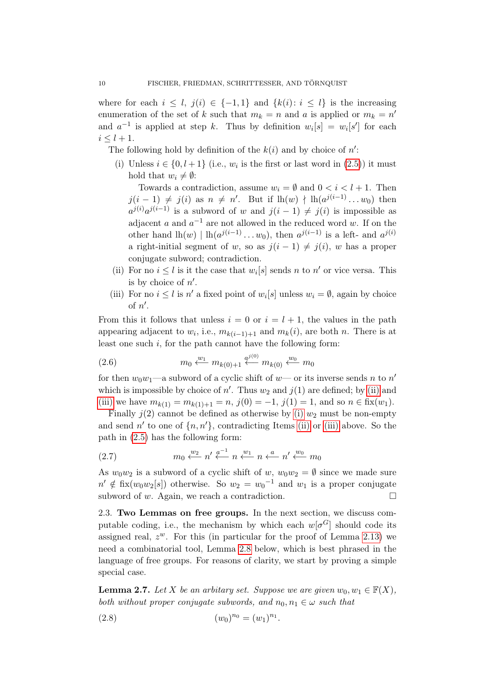where for each  $i \leq l$ ,  $j(i) \in \{-1,1\}$  and  $\{k(i): i \leq l\}$  is the increasing enumeration of the set of k such that  $m_k = n$  and a is applied or  $m_k = n'$ and  $a^{-1}$  is applied at step k. Thus by definition  $w_i[s] = w_i[s']$  for each  $i < l + 1$ .

<span id="page-9-2"></span>The following hold by definition of the  $k(i)$  and by choice of  $n'$ :

(i) Unless  $i \in \{0, l+1\}$  (i.e.,  $w_i$  is the first or last word in  $(2.5)$ ) it must hold that  $w_i \neq \emptyset$ :

Towards a contradiction, assume  $w_i = \emptyset$  and  $0 < i < l + 1$ . Then  $j(i-1) \neq j(i)$  as  $n \neq n'$ . But if  $lh(w) \nmid \text{lh}(a^{j(i-1)} \dots w_0)$  then  $a^{j(i)}a^{j(i-1)}$  is a subword of w and  $j(i-1) \neq j(i)$  is impossible as adjacent a and  $a^{-1}$  are not allowed in the reduced word w. If on the other hand  $\ln(w) | \ln(a^{j(i-1)} \dots w_0)$ , then  $a^{j(i-1)}$  is a left- and  $a^{j(i)}$ a right-initial segment of w, so as  $j(i - 1) \neq j(i)$ , w has a proper conjugate subword; contradiction.

- <span id="page-9-0"></span>(ii) For no  $i \leq l$  is it the case that  $w_i[s]$  sends n to n' or vice versa. This is by choice of  $n'$ .
- <span id="page-9-1"></span>(iii) For no  $i \leq l$  is n' a fixed point of  $w_i[s]$  unless  $w_i = \emptyset$ , again by choice of  $n'$ .

From this it follows that unless  $i = 0$  or  $i = l + 1$ , the values in the path appearing adjacent to  $w_i$ , i.e.,  $m_{k(i-1)+1}$  and  $m_k(i)$ , are both n. There is at least one such  $i$ , for the path cannot have the following form:

(2.6) 
$$
m_0 \xleftarrow{w_1} m_{k(0)+1} \xleftarrow{q^{j(0)}} m_{k(0)} \xleftarrow{w_0} m_0
$$

for then  $w_0w_1$ —a subword of a cyclic shift of  $w$ — or its inverse sends n to  $n'$ which is impossible by choice of  $n'$ . Thus  $w_2$  and  $j(1)$  are defined; by [\(ii\)](#page-9-0) and [\(iii\)](#page-9-1) we have  $m_{k(1)} = m_{k(1)+1} = n$ ,  $j(0) = -1$ ,  $j(1) = 1$ , and so  $n \in$  fix $(w_1)$ .

Finally  $j(2)$  cannot be defined as otherwise by [\(i\)](#page-9-2)  $w_2$  must be non-empty and send  $n'$  to one of  $\{n, n'\}$ , contradicting Items [\(ii\)](#page-9-0) or [\(iii\)](#page-9-1) above. So the path in [\(2.5\)](#page-8-1) has the following form:

(2.7) 
$$
m_0 \xleftarrow{w_2} n' \xleftarrow{a^{-1}} n \xleftarrow{w_1} n' \xleftarrow{a} n' \xleftarrow{w_0} m_0
$$

As  $w_0w_2$  is a subword of a cyclic shift of w,  $w_0w_2 = \emptyset$  since we made sure  $n' \notin \text{fix}(w_0w_2[s])$  otherwise. So  $w_2 = w_0^{-1}$  and  $w_1$  is a proper conjugate subword of w. Again, we reach a contradiction.  $\square$ 

2.3. Two Lemmas on free groups. In the next section, we discuss computable coding, i.e., the mechanism by which each  $w[\sigma^G]$  should code its assigned real,  $z^w$ . For this (in particular for the proof of Lemma [2.13\)](#page-13-0) we need a combinatorial tool, Lemma [2.8](#page-10-0) below, which is best phrased in the language of free groups. For reasons of clarity, we start by proving a simple special case.

<span id="page-9-3"></span>**Lemma 2.7.** Let X be an arbitary set. Suppose we are given  $w_0, w_1 \in \mathbb{F}(X)$ , both without proper conjugate subwords, and  $n_0, n_1 \in \omega$  such that

<span id="page-9-4"></span>(2.8) 
$$
(w_0)^{n_0} = (w_1)^{n_1}.
$$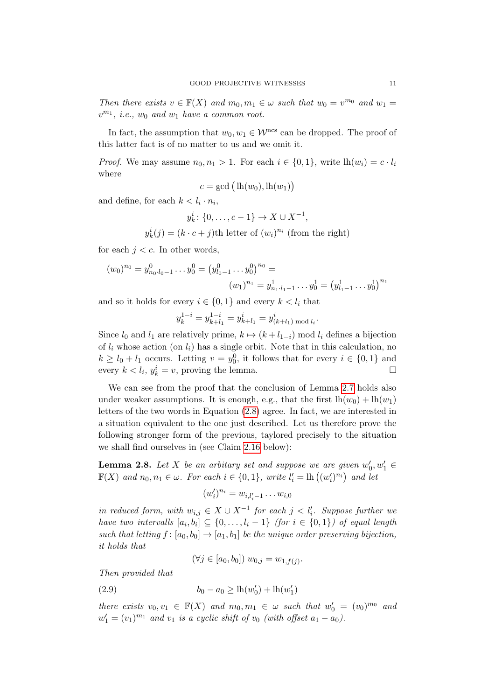Then there exists  $v \in \mathbb{F}(X)$  and  $m_0, m_1 \in \omega$  such that  $w_0 = v^{m_0}$  and  $w_1 =$  $v^{m_1}$ , *i.e.*,  $w_0$  and  $w_1$  have a common root.

In fact, the assumption that  $w_0, w_1 \in \mathcal{W}^{\text{ncs}}$  can be dropped. The proof of this latter fact is of no matter to us and we omit it.

*Proof.* We may assume  $n_0, n_1 > 1$ . For each  $i \in \{0, 1\}$ , write  $lh(w_i) = c \cdot l_i$ where

$$
c = \gcd\big(\ln(w_0), \ln(w_1)\big)
$$

and define, for each  $k < l_i \cdot n_i$ ,

$$
y_k^i
$$
: {0,...,c-1}  $\to X \cup X^{-1}$ ,

 $y_k^i(j) = (k \cdot c + j)$ th letter of  $(w_i)^{n_i}$  (from the right)

for each  $j < c$ . In other words,

$$
(w_0)^{n_0} = y_{n_0 \cdot l_0 - 1}^0 \dots y_0^0 = (y_{l_0 - 1}^0 \dots y_0^0)^{n_0} = (w_1)^{n_1} = y_{n_1 \cdot l_1 - 1}^1 \dots y_0^1 = (y_{l_1 - 1}^1 \dots y_0^1)^{n_1}
$$

and so it holds for every  $i \in \{0,1\}$  and every  $k < l_i$  that

$$
y_k^{1-i} = y_{k+l_1}^{1-i} = y_{k+l_1}^i = y_{(k+l_1) \bmod l_i}^i.
$$

Since  $l_0$  and  $l_1$  are relatively prime,  $k \mapsto (k + l_{1-i})$  mod  $l_i$  defines a bijection of  $l_i$  whose action (on  $l_i$ ) has a single orbit. Note that in this calculation, no  $k \geq l_0 + l_1$  occurs. Letting  $v = y_0^0$ , it follows that for every  $i \in \{0, 1\}$  and every  $k < l_i$ ,  $y_k^i = v$ , proving the lemma.

We can see from the proof that the conclusion of Lemma [2.7](#page-9-3) holds also under weaker assumptions. It is enough, e.g., that the first  $lh(w_0) + lh(w_1)$ letters of the two words in Equation [\(2.8\)](#page-9-4) agree. In fact, we are interested in a situation equivalent to the one just described. Let us therefore prove the following stronger form of the previous, taylored precisely to the situation we shall find ourselves in (see Claim [2.16](#page-15-0) below):

<span id="page-10-0"></span>**Lemma 2.8.** Let X be an arbitary set and suppose we are given  $w'_0, w'_1 \in$  $\mathbb{F}(X)$  and  $n_0, n_1 \in \omega$ . For each  $i \in \{0, 1\}$ , write  $l'_i = \text{lh}\left((w'_i)^{n_i}\right)$  and let

$$
(w'_i)^{n_i}=w_{i,l'_i-1}\ldots w_{i,0}
$$

in reduced form, with  $w_{i,j} \in X \cup X^{-1}$  for each  $j < l'_i$ . Suppose further we have two intervalls  $[a_i, b_i] \subseteq \{0, \ldots, l_i-1\}$  (for  $i \in \{0,1\}$ ) of equal length such that letting  $f : [a_0, b_0] \to [a_1, b_1]$  be the unique order preserving bijection, it holds that

<span id="page-10-1"></span>
$$
(\forall j \in [a_0, b_0]) \ w_{0,j} = w_{1,f(j)}.
$$

Then provided that

(2.9) 
$$
b_0 - a_0 \ge \ln(w'_0) + \ln(w'_1)
$$

there exists  $v_0, v_1 \in \mathbb{F}(X)$  and  $m_0, m_1 \in \omega$  such that  $w'_0 = (v_0)^{m_0}$  and  $w'_1 = (v_1)^{m_1}$  and  $v_1$  is a cyclic shift of  $v_0$  (with offset  $a_1 - a_0$ ).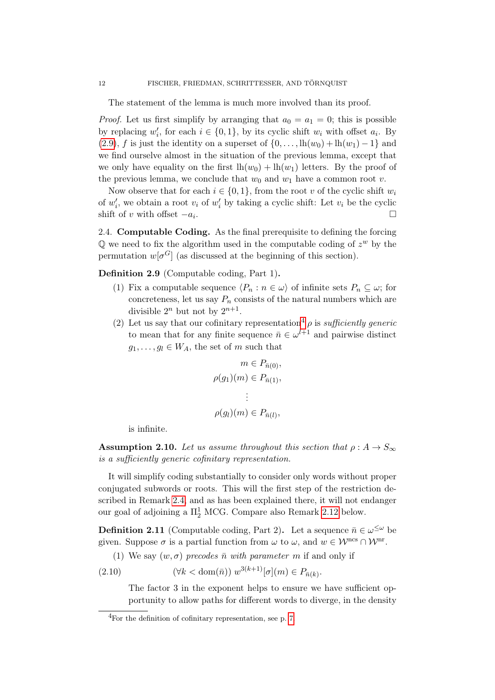The statement of the lemma is much more involved than its proof.

*Proof.* Let us first simplify by arranging that  $a_0 = a_1 = 0$ ; this is possible by replacing  $w'_i$ , for each  $i \in \{0,1\}$ , by its cyclic shift  $w_i$  with offset  $a_i$ . By [\(2.9\)](#page-10-1), f is just the identity on a superset of  $\{0, \ldots, \ln(w_0) + \ln(w_1) - 1\}$  and we find ourselve almost in the situation of the previous lemma, except that we only have equality on the first  $lh(w_0) + lh(w_1)$  letters. By the proof of the previous lemma, we conclude that  $w_0$  and  $w_1$  have a common root v.

Now observe that for each  $i \in \{0,1\}$ , from the root v of the cyclic shift  $w_i$ of  $w'_i$ , we obtain a root  $v_i$  of  $w'_i$  by taking a cyclic shift: Let  $v_i$  be the cyclic shift of v with offset  $-a_i$ . .

2.4. Computable Coding. As the final prerequisite to defining the forcing  $\mathbb Q$  we need to fix the algorithm used in the computable coding of  $z^w$  by the permutation  $w[\sigma^G]$  (as discussed at the beginning of this section).

<span id="page-11-3"></span><span id="page-11-2"></span>Definition 2.9 (Computable coding, Part 1).

- (1) Fix a computable sequence  $\langle P_n : n \in \omega \rangle$  of infinite sets  $P_n \subseteq \omega$ ; for concreteness, let us say  $P_n$  consists of the natural numbers which are divisible  $2^n$  but not by  $2^{n+1}$ .
- <span id="page-11-5"></span>(2) Let us say that our cofinitary representation<sup>[4](#page-11-1)</sup>  $\rho$  is sufficiently generic to mean that for any finite sequence  $\bar{n} \in \omega^{l+1}$  and pairwise distinct  $g_1, \ldots, g_l \in W_A$ , the set of m such that

$$
m \in P_{\bar{n}(0)},
$$
  

$$
\rho(g_1)(m) \in P_{\bar{n}(1)},
$$
  

$$
\vdots
$$
  

$$
\rho(g_l)(m) \in P_{\bar{n}(l)},
$$

is infinite.

<span id="page-11-0"></span>**Assumption 2.10.** Let us assume throughout this section that  $\rho: A \to S_{\infty}$ is a sufficiently generic cofinitary representation.

It will simplify coding substantially to consider only words without proper conjugated subwords or roots. This will the first step of the restriction described in Remark [2.4,](#page-7-0) and as has been explained there, it will not endanger our goal of adjoining a  $\Pi^1_2$  MCG. Compare also Remark [2.12](#page-12-0) below.

<span id="page-11-4"></span>**Definition 2.11** (Computable coding, Part 2). Let a sequence  $\bar{n} \in \omega^{\leq \omega}$  be given. Suppose  $\sigma$  is a partial function from  $\omega$  to  $\omega$ , and  $w \in \mathcal{W}^{\text{ncs}} \cap \mathcal{W}^{\text{nr}}$ .

(1) We say  $(w, \sigma)$  precodes  $\bar{n}$  with parameter m if and only if

(2.10)  $(\forall k < \text{dom}(\bar{n})) \ w^{3(k+1)}[\sigma](m) \in P_{\bar{n}(k)}$ .

The factor 3 in the exponent helps to ensure we have sufficient opportunity to allow paths for different words to diverge, in the density

<span id="page-11-1"></span><sup>4</sup>For the definition of cofinitary representation, see p. [7.](#page-6-0)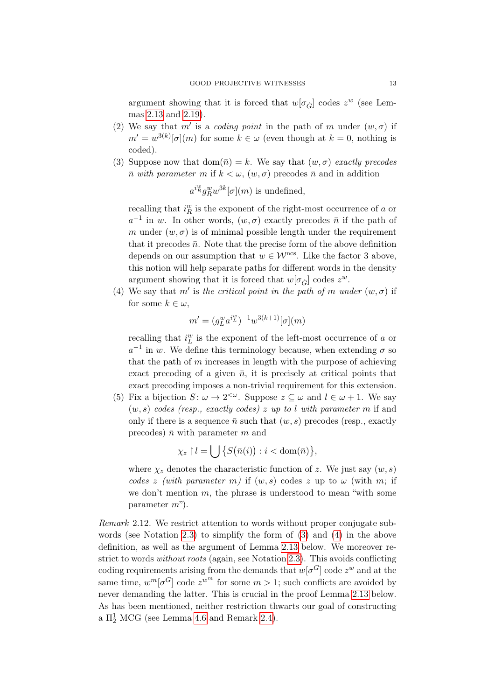argument showing that it is forced that  $w[\sigma_{\dot{G}}]$  codes  $z^w$  (see Lemmas [2.13](#page-13-0) and [2.19\)](#page-17-0).

- (2) We say that m' is a coding point in the path of m under  $(w, \sigma)$  if  $m' = w^{3(k)}[\sigma](m)$  for some  $k \in \omega$  (even though at  $k = 0$ , nothing is coded).
- <span id="page-12-1"></span>(3) Suppose now that  $dom(\bar{n}) = k$ . We say that  $(w, \sigma)$  exactly precodes  $\bar{n}$  with parameter m if  $k < \omega$ ,  $(w, \sigma)$  precodes  $\bar{n}$  and in addition

$$
a^{i_{R}^{w}}g_{R}^{w}w^{3k}[\sigma](m)
$$
 is undefined,

recalling that  $i_R^w$  is the exponent of the right-most occurrence of  $a$  or  $a^{-1}$  in w. In other words,  $(w, \sigma)$  exactly precodes  $\bar{n}$  if the path of m under  $(w, \sigma)$  is of minimal possible length under the requirement that it precodes  $\bar{n}$ . Note that the precise form of the above definition depends on our assumption that  $w \in \mathcal{W}^{\text{ncs}}$ . Like the factor 3 above, this notion will help separate paths for different words in the density argument showing that it is forced that  $w[\sigma_{\dot{G}}]$  codes  $z^w$ .

<span id="page-12-2"></span>(4) We say that m' is the critical point in the path of m under  $(w, \sigma)$  if for some  $k \in \omega$ .

$$
m' = (g_L^w a^{i_L^w})^{-1} w^{3(k+1)}[\sigma](m)
$$

recalling that  $i_L^w$  is the exponent of the left-most occurrence of a or  $a^{-1}$  in w. We define this terminology because, when extending  $\sigma$  so that the path of  $m$  increases in length with the purpose of achieving exact precoding of a given  $\bar{n}$ , it is precisely at critical points that exact precoding imposes a non-trivial requirement for this extension.

<span id="page-12-3"></span>(5) Fix a bijection  $S: \omega \to 2^{<\omega}$ . Suppose  $z \subseteq \omega$  and  $l \in \omega + 1$ . We say  $(w, s)$  codes (resp., exactly codes) z up to l with parameter m if and only if there is a sequence  $\bar{n}$  such that  $(w, s)$  precodes (resp., exactly precodes)  $\bar{n}$  with parameter m and

$$
\chi_z \restriction l = \bigcup \big\{ S(\bar{n}(i)) : i < \operatorname{dom}(\bar{n}) \big\},
$$

where  $\chi_z$  denotes the characteristic function of z. We just say  $(w, s)$ codes z (with parameter m) if  $(w, s)$  codes z up to  $\omega$  (with m; if we don't mention  $m$ , the phrase is understood to mean "with some parameter m").

<span id="page-12-0"></span>Remark 2.12. We restrict attention to words without proper conjugate subwords (see Notation [2.3\)](#page-7-1) to simplify the form of [\(3\)](#page-12-1) and [\(4\)](#page-12-2) in the above definition, as well as the argument of Lemma [2.13](#page-13-0) below. We moreover restrict to words without roots (again, see Notation [2.3\)](#page-7-1). This avoids conflicting coding requirements arising from the demands that  $w[\sigma^G]$  code  $z^w$  and at the same time,  $w^m[\sigma^G]$  code  $z^{w^m}$  for some  $m > 1$ ; such conflicts are avoided by never demanding the latter. This is crucial in the proof Lemma [2.13](#page-13-0) below. As has been mentioned, neither restriction thwarts our goal of constructing a  $\Pi^1_2$  MCG (see Lemma [4.6](#page-29-0) and Remark [2.4\)](#page-7-0).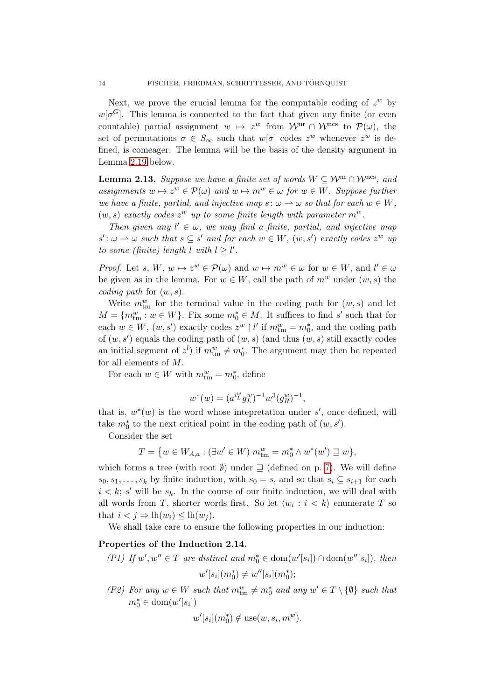Next, we prove the crucial lemma for the computable coding of  $z^w$  by  $w[\sigma^G]$ . This lemma is connected to the fact that given any finite (or even countable) partial assignment  $w \mapsto z^w$  from  $\mathcal{W}^{\text{nr}} \cap \mathcal{W}^{\text{ncs}}$  to  $\mathcal{P}(\omega)$ , the set of permutations  $\sigma \in S_{\infty}$  such that  $w[\sigma]$  codes  $z^w$  whenever  $z^w$  is defined, is comeager. The lemma will be the basis of the density argument in Lemma [2.19](#page-17-0) below.

<span id="page-13-0"></span>**Lemma 2.13.** Suppose we have a finite set of words  $W \subseteq \mathcal{W}^{\text{nr}} \cap \mathcal{W}^{\text{ncs}}$ , and assignments  $w \mapsto z^w \in \mathcal{P}(\omega)$  and  $w \mapsto m^w \in \omega$  for  $w \in W$ . Suppose further we have a finite, partial, and injective map  $s: \omega \to \omega$  so that for each  $w \in W$ ,  $(w, s)$  exactly codes  $z^w$  up to some finite length with parameter  $m^w$ .

Then given any  $l' \in \omega$ , we may find a finite, partial, and injective map  $s' : \omega \longrightarrow \omega$  such that  $s \subseteq s'$  and for each  $w \in W$ ,  $(w, s')$  exactly codes  $z^w$  up to some (finite) length l with  $l \geq l'$ .

*Proof.* Let s,  $W, w \mapsto z^w \in \mathcal{P}(\omega)$  and  $w \mapsto m^w \in \omega$  for  $w \in W$ , and  $l' \in \omega$ be given as in the lemma. For  $w \in W$ , call the path of  $m^w$  under  $(w, s)$  the coding path for  $(w, s)$ .

Write  $m_{\text{tm}}^w$  for the terminal value in the coding path for  $(w, s)$  and let  $M = \{m_{\text{tm}}^w : w \in W\}$ . Fix some  $m_0^* \in M$ . It suffices to find s' such that for each  $w \in W$ ,  $(w, s')$  exactly codes  $z^w \restriction l'$  if  $m_{\text{tm}}^w = m_0^*$ , and the coding path of  $(w, s')$  equals the coding path of  $(w, s)$  (and thus  $(w, s)$  still exactly codes an initial segment of  $z^l$ ) if  $m_{\text{tm}}^w \neq m_0^*$ . The argument may then be repeated for all elements of M.

For each  $w \in W$  with  $m_{\text{tm}}^w = m_0^*$ , define

$$
w^*(w) = (a^{i^w} g^w_L)^{-1} w^3 (g^w_R)^{-1},
$$

that is,  $w^*(w)$  is the word whose intepretation under s', once defined, will take  $m_0^*$  to the next critical point in the coding path of  $(w, s')$ .

Consider the set

$$
T = \{ w \in W_{A,a} : (\exists w' \in W) \; m_{\text{tm}}^w = m_0^* \wedge w^*(w') \sqsupseteq w \},
$$

which forms a tree (with root  $\emptyset$ ) under  $\supseteq$  (defined on p. [7\)](#page-6-0). We will define  $s_0, s_1, \ldots, s_k$  by finite induction, with  $s_0 = s$ , and so that  $s_i \subseteq s_{i+1}$  for each  $i < k$ ; s' will be  $s_k$ . In the course of our finite induction, we will deal with all words from T, shorter words first. So let  $\langle w_i : i \langle k \rangle$  enumerate T so that  $i < j \Rightarrow \ln(w_i) \leq \ln(w_i)$ .

We shall take care to ensure the following properties in our induction:

# <span id="page-13-2"></span>Properties of the Induction 2.14.

<span id="page-13-1"></span>
$$
(P1) If w', w'' \in T \text{ are distinct and } m_0^* \in \text{dom}(w'[s_i]) \cap \text{dom}(w''[s_i]), \text{ then}
$$

$$
w'[s_i](m_0^*) \neq w''[s_i](m_0^*);
$$

(P2) For any  $w \in W$  such that  $m_{\text{tm}}^w \neq m_0^*$  and any  $w' \in T \setminus \{\emptyset\}$  such that  $m_0^* \in \text{dom}(w'[s_i])$ 

$$
w'[s_i](m_0^*) \notin \text{use}(w, s_i, m^w).
$$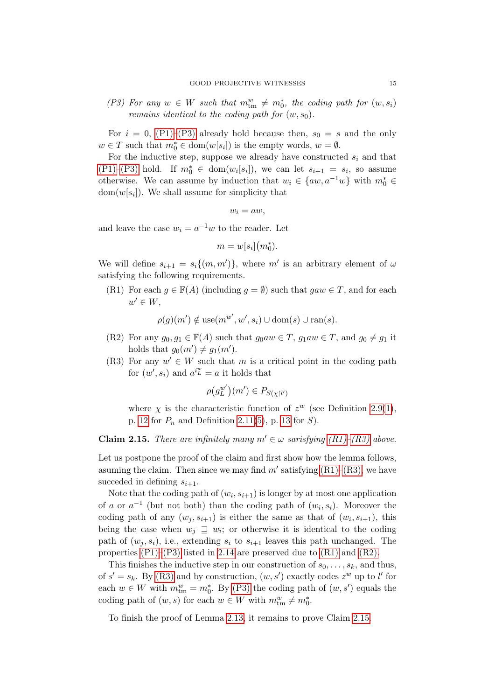<span id="page-14-0"></span>(P3) For any  $w \in W$  such that  $m_{\text{tm}}^w \neq m_0^*$ , the coding path for  $(w, s_i)$ remains identical to the coding path for  $(w, s_0)$ .

For  $i = 0$ , [\(P1\)–](#page-13-1)[\(P3\)](#page-14-0) already hold because then,  $s_0 = s$  and the only  $w \in T$  such that  $m_0^* \in \text{dom}(w[s_i])$  is the empty words,  $w = \emptyset$ .

For the inductive step, suppose we already have constructed  $s_i$  and that  $(P1)$ – $(P3)$  hold. If  $m_0^* \in \text{dom}(w_i[s_i])$ , we can let  $s_{i+1} = s_i$ , so assume otherwise. We can assume by induction that  $w_i \in \{aw, a^{-1}w\}$  with  $m_0^* \in$  $dom(w[s_i])$ . We shall assume for simplicity that

$$
w_i = aw,
$$

and leave the case  $w_i = a^{-1}w$  to the reader. Let

 $m = w[s_i](m_0^*).$ 

We will define  $s_{i+1} = s_i \{(m, m')\}$ , where m' is an arbitrary element of  $\omega$ satisfying the following requirements.

<span id="page-14-1"></span>(R1) For each  $g \in \mathbb{F}(A)$  (including  $g = \emptyset$ ) such that  $gaw \in T$ , and for each  $w' \in W$ ,

 $\rho(g)(m') \notin \text{use}(m^{w'}, w', s_i) \cup \text{dom}(s) \cup \text{ran}(s).$ 

- <span id="page-14-3"></span>(R2) For any  $g_0, g_1 \in \mathbb{F}(A)$  such that  $g_0aw \in T$ ,  $g_1aw \in T$ , and  $g_0 \neq g_1$  it holds that  $g_0(m') \neq g_1(m')$ .
- <span id="page-14-2"></span>(R3) For any  $w' \in W$  such that m is a critical point in the coding path for  $(w', s_i)$  and  $a^{i_w^w} = a$  it holds that

$$
\rho\big(g_L^{w'}\big)(m') \in P_{S(\chi \restriction l')}
$$

where  $\chi$  is the characteristic function of  $z^w$  (see Definition [2.9](#page-11-2)[\(1\)](#page-11-3), p. [12](#page-11-3) for  $P_n$  and Definition [2.11\(](#page-11-4)[5\)](#page-12-3), p. [13](#page-12-3) for S).

<span id="page-14-4"></span>**Claim 2.15.** There are infinitely many  $m' \in \omega$  sarisfying  $(R1)$ – $(R3)$  above.

Let us postpone the proof of the claim and first show how the lemma follows, asuming the claim. Then since we may find  $m'$  satisfying  $(R1)$ – $(R3)$ , we have succeded in defining  $s_{i+1}$ .

Note that the coding path of  $(w_i, s_{i+1})$  is longer by at most one application of a or  $a^{-1}$  (but not both) than the coding path of  $(w_i, s_i)$ . Moreover the coding path of any  $(w_j, s_{i+1})$  is either the same as that of  $(w_i, s_{i+1})$ , this being the case when  $w_j \supseteq w_i$ ; or otherwise it is identical to the coding path of  $(w_j, s_i)$ , i.e., extending  $s_i$  to  $s_{i+1}$  leaves this path unchanged. The properties [\(P1\)–](#page-13-1)[\(P3\)](#page-14-0) listed in [2.14](#page-13-2) are preserved due to [\(R1\)](#page-14-1) and [\(R2\).](#page-14-3)

This finishes the inductive step in our construction of  $s_0, \ldots, s_k$ , and thus, of  $s' = s_k$ . By [\(R3\)](#page-14-2) and by construction,  $(w, s')$  exactly codes  $z^w$  up to l' for each  $w \in W$  with  $m_{\text{tm}}^w = m_0^*$ . By [\(P3\)](#page-14-0) the coding path of  $(w, s')$  equals the coding path of  $(w, s)$  for each  $w \in W$  with  $m_{\text{tm}}^w \neq m_0^*$ .

To finish the proof of Lemma [2.13,](#page-13-0) it remains to prove Claim [2.15.](#page-14-4)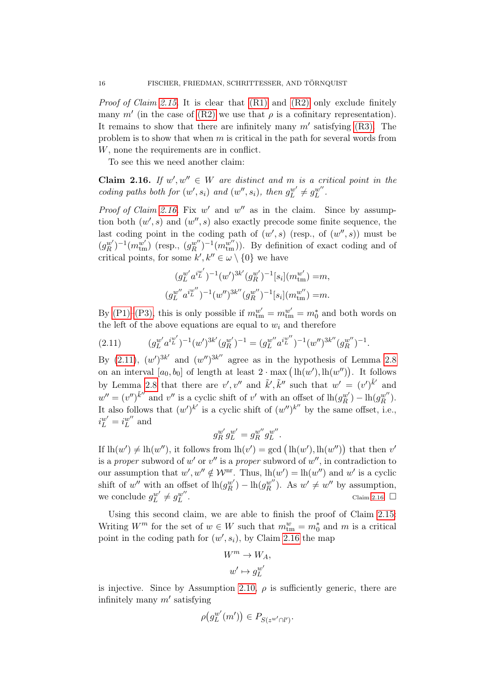Proof of Claim [2.15.](#page-14-4) It is clear that [\(R1\)](#page-14-1) and [\(R2\)](#page-14-3) only exclude finitely many m' (in the case of [\(R2\)](#page-14-3) we use that  $\rho$  is a cofinitary representation). It remains to show that there are infinitely many  $m'$  satisfying [\(R3\).](#page-14-2) The problem is to show that when  $m$  is critical in the path for several words from W, none the requirements are in conflict.

To see this we need another claim:

<span id="page-15-0"></span>**Claim 2.16.** If  $w', w'' \in W$  are distinct and m is a critical point in the coding paths both for  $(w', s_i)$  and  $(w'', s_i)$ , then  $g_L^{w'} \neq g_L^{w''}$ .

Proof of Claim [2.16.](#page-15-0) Fix  $w'$  and  $w''$  as in the claim. Since by assumption both  $(w', s)$  and  $(w'', s)$  also exactly precode some finite sequence, the last coding point in the coding path of  $(w', s)$  (resp., of  $(w'', s)$ ) must be  $(g_R^{w'})^{-1}(m_{\text{tm}}^{w'})$  (resp.,  $(g_R^{w''})^{-1}(m_{\text{tm}}^{w''})$ ). By definition of exact coding and of critical points, for some  $k', k'' \in \omega \setminus \{0\}$  we have

$$
(g_L^{w'} a^{i\frac{w'}{L}})^{-1} (w')^{3k'} (g_R^{w'})^{-1} [s_i] (m_{\text{tm}}^{w'}) = m,
$$
  

$$
(g_L^{w''} a^{i\frac{w''}{L}})^{-1} (w'')^{3k''} (g_R^{w'})^{-1} [s_i] (m_{\text{tm}}^{w'}) = m.
$$

By [\(P1\)–](#page-13-1)[\(P3\),](#page-14-0) this is only possible if  $m_{\text{tm}}^{w'} = m_{\text{tm}}^{w'} = m_0^*$  and both words on the left of the above equations are equal to  $w_i$  and therefore

<span id="page-15-1"></span>
$$
(2.11) \t(g_L^{w'}a^{i_L^{w'}})^{-1}(w')^{3k'}(g_R^{w'})^{-1} = (g_L^{w''}a^{i_L^{w''}})^{-1}(w'')^{3k''}(g_R^{w''})^{-1}.
$$

By  $(2.11)$ ,  $(w')^{3k'}$  and  $(w'')^{3k''}$  agree as in the hypothesis of Lemma [2.8](#page-10-0) on an interval  $[a_0, b_0]$  of length at least  $2 \cdot \max(\mathrm{lh}(w'), \mathrm{lh}(w''))$ . It follows by Lemma [2.8](#page-10-0) that there are  $v', v''$  and  $\tilde{k}', \tilde{k}''$  such that  $w' = (v')^{\tilde{k}'}$  and  $w'' = (v'')^{\tilde{k}''}$  and  $v''$  is a cyclic shift of v' with an offset of  $\ln(g_R^{w'}) - \ln(g_R^{w''})$ . It also follows that  $(w')^{k'}$  is a cyclic shift of  $(w'')^{k''}$  by the same offset, i.e.,  $i_L^{w'} = i_L^{w''}$  and

$$
g_R^{w'}g_L^{w'}=g_R^{w''}g_L^{w''}.
$$

If  $\text{lh}(w') \neq \text{lh}(w'')$ , it follows from  $\text{lh}(v') = \text{gcd}(\text{lh}(w'), \text{lh}(w''))$  that then v' is a *proper* subword of  $w'$  or  $v''$  is a *proper* subword of  $w''$ , in contradiction to our assumption that  $w', w'' \notin \mathcal{W}^{\text{nr}}$ . Thus,  $lh(w') = lh(w'')$  and w' is a cyclic shift of w'' with an offset of  $\ln(g_R^{w'}) - \ln(g_R^{w''})$ . As  $w' \neq w''$  by assumption, we conclude  $g_L^{w'} \neq g_L^{w''}$ Claim [2.16.](#page-15-0)  $\Box$ 

Using this second claim, we are able to finish the proof of Claim [2.15:](#page-14-4) Writing  $W^m$  for the set of  $w \in W$  such that  $m_{\text{tm}}^w = m_0^*$  and m is a critical point in the coding path for  $(w', s_i)$ , by Claim [2.16](#page-15-0) the map

$$
W^m \to W_A,
$$
  

$$
w' \mapsto g_L^{w'}
$$

is injective. Since by Assumption [2.10,](#page-11-0)  $\rho$  is sufficiently generic, there are infinitely many  $m'$  satisfying

$$
\rho\big(g_L^{w'}(m')\big) \in P_{S(z^{w'} \cap l')}.
$$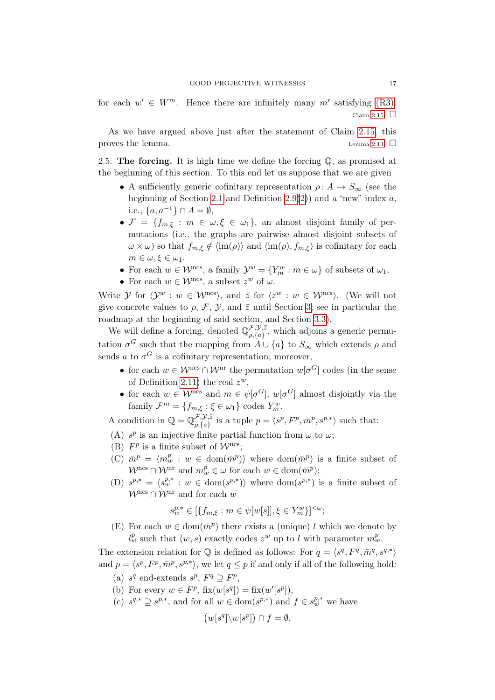for each  $w' \in W^m$ . Hence there are infinitely many m' satisfying [\(R3\).](#page-14-2) Claim [2.15.](#page-14-4)  $\Box$ 

As we have argued above just after the statement of Claim [2.15,](#page-14-4) this proves the lemma.  $\Box$ 

2.5. The forcing. It is high time we define the forcing  $\mathbb{Q}$ , as promised at the beginning of this section. To this end let us suppose that we are given

- A sufficiently generic cofinitary representation  $\rho: A \to S_{\infty}$  (see the beginning of Section [2.1](#page-6-0) and Definition  $2.9(2)$  $2.9(2)$ ) and a "new" index a. i.e.,  $\{a, a^{-1}\}\cap A = \emptyset$ ,
- $\mathcal{F} = \{f_{m,\xi} : m \in \omega, \xi \in \omega_1\}$ , an almost disjoint family of permutations (i.e., the graphs are pairwise almost disjoint subsets of  $\omega \times \omega$ ) so that  $f_{m,\xi} \notin \langle \text{im}(\rho) \rangle$  and  $\langle \text{im}(\rho), f_{m,\xi} \rangle$  is cofinitary for each  $m \in \omega, \xi \in \omega_1$ .
- For each  $w \in \mathcal{W}^{\text{ncs}}$ , a family  $\mathcal{Y}^w = \{Y_m^w : m \in \omega\}$  of subsets of  $\omega_1$ ,
- For each  $w \in \mathcal{W}^{\text{ncs}}$ , a subset  $z^w$  of  $\omega$ .

Write  $\mathcal Y$  for  $\langle \mathcal Y^w : w \in \mathcal W^{\rm ncs} \rangle$ , and  $\bar z$  for  $\langle z^w : w \in \mathcal W^{\rm ncs} \rangle$ . (We will not give concrete values to  $\rho$ , F, Y, and  $\bar{z}$  until Section [3;](#page-19-0) see in particular the roadmap at the beginning of said section, and Section [3.3\)](#page-24-0).

We will define a forcing, denoted  $\mathbb{Q}_{a}^{\mathcal{F},\mathcal{Y},\bar{z}}$  $\mathcal{L}_{\rho,\{a\}}^{\mathcal{F},\mathcal{Y},z}$ , which adjoins a generic permutation  $\sigma^G$  such that the mapping from  $A \cup \{a\}$  to  $S_{\infty}$  which extends  $\rho$  and sends a to  $\sigma^G$  is a cofinitary representation; moreover,

- for each  $w \in \mathcal{W}^{\text{ncs}} \cap \mathcal{W}^{\text{nr}}$  the permutation  $w[\sigma^G]$  codes (in the sense of Definition [2.11\)](#page-11-4) the real  $z^w$ ,
- for each  $w \in \mathcal{W}^{\text{ncs}}$  and  $m \in \psi[\sigma^G], w[\sigma^G]$  almost disjointly via the family  $\mathcal{F}^m = \{f_{m,\xi} : \xi \in \omega_1\}$  codes  $Y_m^w$ .

A condition in  $\mathbb{Q} = \mathbb{Q}_{\text{a.fa}}^{\mathcal{F},\mathcal{Y},\bar{z}}$ ρ,{a} is a tuple p = hs p , F<sup>p</sup> , m¯ p , sp,<sup>∗</sup> i such that:

- (A)  $s^p$  is an injective finite partial function from  $\omega$  to  $\omega$ ;
- (B)  $F^p$  is a finite subset of  $\mathcal{W}^{\text{ncs}}$ ;
- (C)  $\bar{m}^p = \langle m_w^p : w \in \text{dom}(\bar{m}^p) \rangle$  where  $\text{dom}(\bar{m}^p)$  is a finite subset of  $\mathcal{W}^{\text{ncs}} \cap \mathcal{W}^{\text{nr}}$  and  $m_w^p \in \omega$  for each  $w \in \text{dom}(\bar{m}^p)$ ;
- (D)  $s^{p,*} = \langle s_w^{p,*} : w \in \text{dom}(s^{p,*}) \rangle$  where  $\text{dom}(s^{p,*})$  is a finite subset of  $\mathcal{W}^{\textup{ncs}} \cap \mathcal{W}^{\textup{nr}}$  and for each  $w$

$$
s^{p,*}_w\in [\{f_{m,\xi}: m\in \psi[w[s]], \xi\in Y_m^w\}]^{<\omega};
$$

(E) For each  $w \in \text{dom}(\bar{m}^p)$  there exists a (unique) l which we denote by  $l_w^p$  such that  $(w, s)$  exactly codes  $z^w$  up to l with parameter  $m_w^p$ .

The extension relation for  $\mathbb Q$  is defined as follows: For  $q = \langle s^q, F^q, \bar{m}^q, s^{q,*} \rangle$ and  $p = \langle s^p, F^p, \bar{m}^p, s^{p,*} \rangle$ , we let  $q \leq p$  if and only if all of the following hold:

- (a)  $s^q$  end-extends  $s^p$ ,  $F^q \supseteq F^p$ ,
- (b) For every  $w \in F^p$ ,  $fix(w[s^q]) = fix(w'[s^p])$ ,
- (c)  $s^{q,*} \supseteq s^{p,*}$ , and for all  $w \in \text{dom}(s^{p,*})$  and  $f \in s^{p,*}_w$  we have

$$
(w[s^q] \backslash w[s^p]) \cap f = \emptyset,
$$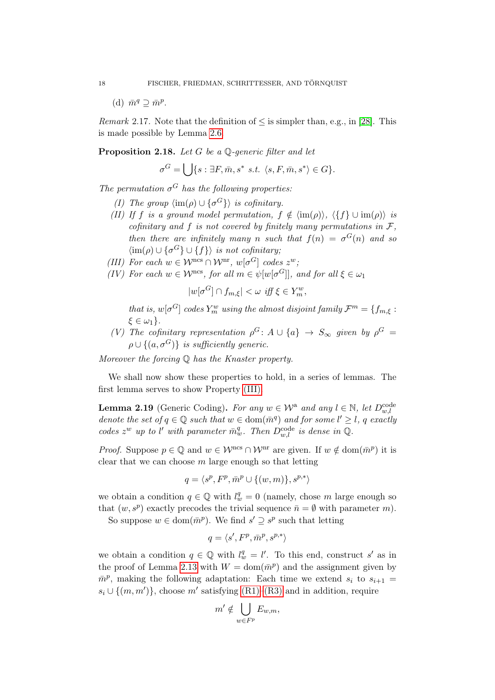(d)  $\bar{m}^q \supseteq \bar{m}^p$ .

<span id="page-17-1"></span>*Remark* 2.17. Note that the definition of  $\leq$  is simpler than, e.g., in [\[28\]](#page-32-1). This is made possible by Lemma [2.6.](#page-8-2)

# <span id="page-17-7"></span>Proposition 2.18. Let G be a  $\mathbb{O}$ -generic filter and let

$$
\sigma^G=\bigcup\{s: \exists F,\bar{m},s^* \,\, s.t. \,\, \langle s,F,\bar{m},s^*\rangle \in G\}.
$$

<span id="page-17-3"></span>The permutation  $\sigma$ <sup>G</sup> has the following properties:

- (I) The group  $\langle \text{im}(\rho) \cup {\{\sigma^G\}} \rangle$  is cofinitary.
- <span id="page-17-4"></span>(II) If f is a ground model permutation,  $f \notin \langle \text{im}(\rho) \rangle$ ,  $\langle \{f\} \cup \text{im}(\rho) \rangle$  is cofinitary and f is not covered by finitely many permutations in  $\mathcal{F}$ . then there are infinitely many n such that  $f(n) = \sigma^{G}(n)$  and so  $\langle \text{im}(\rho) \cup \{\sigma^G\} \cup \{f\} \rangle$  is not cofinitary;
- <span id="page-17-2"></span>(III) For each  $w \in \mathcal{W}^{\text{ncs}} \cap \mathcal{W}^{\text{nr}}, w[\sigma^G]$  codes  $z^w$ ;
- <span id="page-17-5"></span>(IV) For each  $w \in \mathcal{W}^{\text{ncs}}$ , for all  $m \in \psi[w[\sigma^G]]$ , and for all  $\xi \in \omega_1$

$$
|w[\sigma^G] \cap f_{m,\xi}| < \omega \ \text{iff} \ \xi \in Y_m^w,
$$

that is,  $w[\sigma^G]$  codes  $Y_m^w$  using the almost disjoint family  $\mathcal{F}^m = \{f_{m,\xi} :$  $\xi \in \omega_1$ .

<span id="page-17-6"></span>(V) The cofinitary representation  $\rho^G: A \cup \{a\} \to S_{\infty}$  given by  $\rho^G =$  $\rho \cup \{(a, \sigma^G)\}\$ is sufficiently generic.

Moreover the forcing  $\mathbb Q$  has the Knaster property.

We shall now show these properties to hold, in a series of lemmas. The first lemma serves to show Property [\(III\).](#page-17-2)

<span id="page-17-0"></span>**Lemma 2.19** (Generic Coding). For any  $w \in \mathcal{W}^{\text{a}}$  and any  $l \in \mathbb{N}$ , let  $D_{w,l}^{\text{code}}$ denote the set of  $q \in \mathbb{Q}$  such that  $w \in \text{dom}(\bar{m}^q)$  and for some  $l' \geq l$ , q exactly codes  $z^w$  up to l' with parameter  $\bar{m}_w^q$ . Then  $D_{w,l}^{\text{code}}$  is dense in  $\mathbb{Q}$ .

*Proof.* Suppose  $p \in \mathbb{Q}$  and  $w \in \mathcal{W}^{\text{ncs}} \cap \mathcal{W}^{\text{nr}}$  are given. If  $w \notin \text{dom}(\bar{m}^p)$  it is clear that we can choose  $m$  large enough so that letting

$$
q = \langle s^p, F^p, \bar{m}^p \cup \{(w, m)\}, s^{p,*}\rangle
$$

we obtain a condition  $q \in \mathbb{Q}$  with  $l_w^q = 0$  (namely, chose m large enough so that  $(w, s^p)$  exactly precodes the trivial sequence  $\bar{n} = \emptyset$  with parameter m.

So suppose  $w \in \text{dom}(\bar{m}^p)$ . We find  $s' \supseteq s^p$  such that letting

$$
q = \langle s', F^p, \bar{m}^p, s^{p,*} \rangle
$$

we obtain a condition  $q \in \mathbb{Q}$  with  $l_w^q = l'$ . To this end, construct s' as in the proof of Lemma [2.13](#page-13-0) with  $W = \text{dom}(\bar{m}^p)$  and the assignment given by  $\bar{m}^p$ , making the following adaptation: Each time we extend  $s_i$  to  $s_{i+1}$  $s_i \cup \{(m, m')\}$ , choose m' satisfying [\(R1\)–](#page-14-1)[\(R3\)](#page-14-2) and in addition, require

$$
m' \notin \bigcup_{w \in F^p} E_{w,m},
$$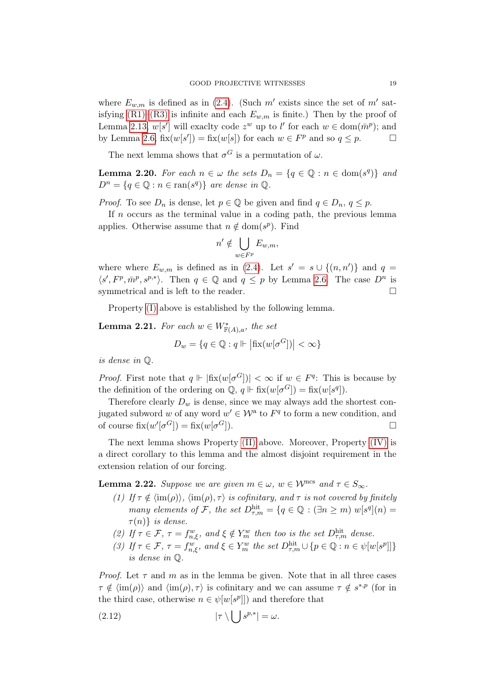where  $E_{w,m}$  is defined as in [\(2.4\)](#page-8-0). (Such m' exists since the set of m' satisfying  $(R1)$ – $(R3)$  is infinite and each  $E_{w,m}$  is finite.) Then by the proof of Lemma [2.13,](#page-13-0)  $w[s']$  will exactly code  $z^w$  up to l' for each  $w \in \text{dom}(\bar{m}^p)$ ; and by Lemma [2.6,](#page-8-2)  $fix(w[s']) = fix(w[s])$  for each  $w \in F^p$  and so  $q \leq p$ .

The next lemma shows that  $\sigma$ <sup>G</sup> is a permutation of  $\omega$ .

<span id="page-18-1"></span>**Lemma 2.20.** For each  $n \in \omega$  the sets  $D_n = \{q \in \mathbb{Q} : n \in \text{dom}(s^q)\}\)$  and  $D^n = \{q \in \mathbb{Q} : n \in \text{ran}(s^q)\}\$ are dense in  $\mathbb{Q}$ .

*Proof.* To see  $D_n$  is dense, let  $p \in \mathbb{Q}$  be given and find  $q \in D_n$ ,  $q \leq p$ .

If  $n$  occurs as the terminal value in a coding path, the previous lemma applies. Otherwise assume that  $n \notin \text{dom}(s^p)$ . Find

$$
n' \notin \bigcup_{w \in F^p} E_{w,m},
$$

where where  $E_{w,m}$  is defined as in [\(2.4\)](#page-8-0). Let  $s' = s \cup \{(n,n')\}$  and  $q =$  $\langle s', F^p, \bar{m}^p, s^{p,*}\rangle$ . Then  $q \in \mathbb{Q}$  and  $q \leq p$  by Lemma [2.6.](#page-8-2) The case  $D^n$  is symmetrical and is left to the reader.

Property [\(I\)](#page-17-3) above is established by the following lemma.

**Lemma 2.21.** For each  $w \in W^*_{\mathbb{F}(A),a}$ , the set

$$
D_w = \{ q \in \mathbb{Q} : q \Vdash |\text{fix}(w[\sigma^G])| < \infty \}
$$

is dense in Q.

*Proof.* First note that  $q \Vdash |\text{fix}(w[\sigma^G])| < \infty$  if  $w \in F^q$ : This is because by the definition of the ordering on  $\mathbb{Q}, q \Vdash \text{fix}(w[\sigma^G]) = \text{fix}(w[s^q]).$ 

Therefore clearly  $D_w$  is dense, since we may always add the shortest conjugated subword w of any word  $w' \in \mathcal{W}^a$  to  $F^q$  to form a new condition, and of course  $\operatorname{fix}(w'[\sigma^G]) = \operatorname{fix}(w[\sigma])$  $G$ ]).

The next lemma shows Property [\(II\)](#page-17-4) above. Moreover, Property [\(IV\)](#page-17-5) is a direct corollary to this lemma and the almost disjoint requirement in the extension relation of our forcing.

<span id="page-18-0"></span>**Lemma 2.22.** Suppose we are given  $m \in \omega$ ,  $w \in \mathcal{W}^{\text{ncs}}$  and  $\tau \in S_{\infty}$ .

- (1) If  $\tau \notin \langle \text{im}(\rho) \rangle$ ,  $\langle \text{im}(\rho), \tau \rangle$  is cofinitary, and  $\tau$  is not covered by finitely many elements of F, the set  $D_{\tau,m}^{\text{hit}} = \{q \in \mathbb{Q} : (\exists n \geq m) w[s^q](n) =$  $\tau(n)$  is dense.
- (2) If  $\tau \in \mathcal{F}$ ,  $\tau = f_{n,\xi}^w$ , and  $\xi \notin Y_m^w$  then too is the set  $D_{\tau,m}^{\text{hit}}$  dense.
- (3) If  $\tau \in \mathcal{F}$ ,  $\tau = f_{n,\xi}^w$ , and  $\xi \in Y_m^w$  the set  $D_{\tau,m}^{\text{hit}} \cup \{p \in \mathbb{Q} : n \in \psi[w[s^p]]\}$ is dense in Q.

*Proof.* Let  $\tau$  and  $m$  as in the lemma be given. Note that in all three cases  $\tau \notin \langle \text{im}(\rho) \rangle$  and  $\langle \text{im}(\rho), \tau \rangle$  is cofinitary and we can assume  $\tau \notin s^{*,p}$  (for in the third case, otherwise  $n \in \psi[w[s^p]]$  and therefore that

<span id="page-18-2"></span>
$$
(2.12) \t\t |\tau \setminus \big| \t s^{p,*}| = \omega.
$$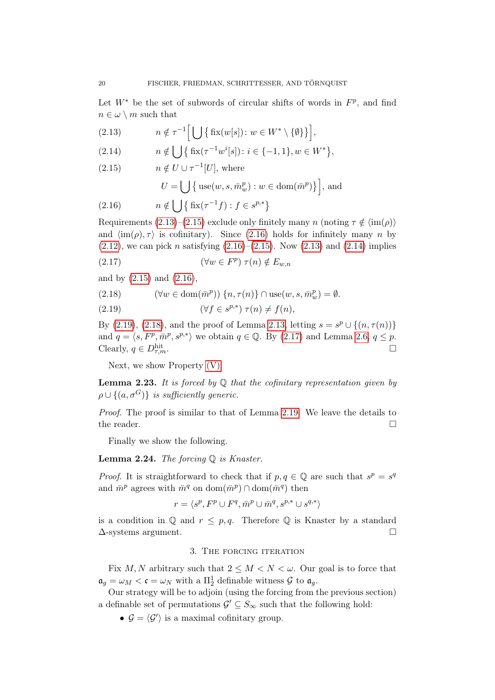Let  $W^*$  be the set of subwords of circular shifts of words in  $F^p$ , and find  $n \in \omega \setminus m$  such that

<span id="page-19-1"></span>(2.13) 
$$
n \notin \tau^{-1}\Big[\bigcup \big\{\text{fix}(w[s]) : w \in W^* \setminus \{\emptyset\}\big\}\Big],
$$

<span id="page-19-4"></span>(2.14) 
$$
n \notin \bigcup \left\{ \text{fix}(\tau^{-1}w^{i}[s]) : i \in \{-1,1\}, w \in W^* \right\},\
$$

<span id="page-19-2"></span>
$$
(2.15) \t n \notin U \cup \tau^{-1}[U], \text{ where}
$$

<span id="page-19-7"></span>
$$
U = \bigcup \big\{ \operatorname{use}(w, s, \bar{m}_w^p) : w \in \operatorname{dom}(\bar{m}^p) \big\} \bigg],
$$
 and

<span id="page-19-3"></span>(2.16) 
$$
n \notin \bigcup \left\{ \text{fix}(\tau^{-1}f) : f \in s^{p,*} \right\}
$$

Requirements [\(2.13\)](#page-19-1)–[\(2.15\)](#page-19-2) exclude only finitely many n (noting  $\tau \notin \langle \text{im}(\rho) \rangle$ and  $\langle \text{im}(\rho), \tau \rangle$  is cofinitary). Since [\(2.16\)](#page-19-3) holds for infinitely many n by  $(2.12)$ , we can pick *n* satisfying  $(2.16)$ – $(2.15)$ . Now  $(2.13)$  and  $(2.14)$  implies

$$
(2.17) \t\t (\forall w \in F^p) \tau(n) \notin E_{w,n}
$$

and by [\(2.15\)](#page-19-2) and [\(2.16\)](#page-19-3),

<span id="page-19-6"></span>(2.18) 
$$
(\forall w \in \text{dom}(\bar{m}^p)) \{n, \tau(n)\} \cap \text{use}(w, s, \bar{m}^p_w) = \emptyset.
$$

<span id="page-19-5"></span>(2.19) 
$$
(\forall f \in s^{p,*}) \ \tau(n) \neq f(n),
$$

By [\(2.19\)](#page-19-5), [\(2.18\)](#page-19-6), and the proof of Lemma [2.13,](#page-13-0) letting  $s = s^p \cup \{(n, \tau(n))\}$ and  $q = \langle s, F^p, \bar{m}^p, s^{p,*} \rangle$  we obtain  $q \in \mathbb{Q}$ . By [\(2.17\)](#page-19-7) and Lemma [2.6,](#page-8-2)  $q \leq p$ . Clearly,  $q \in D_{\tau,m}^{\text{hit}}$ .  $\lim_{\tau,m}$ .

Next, we show Property [\(V\).](#page-17-6)

**Lemma 2.23.** It is forced by  $\mathbb Q$  that the cofinitary representation given by  $\rho \cup \{(a, \sigma^G)\}\$ is sufficiently generic.

Proof. The proof is similar to that of Lemma [2.19.](#page-17-0) We leave the details to the reader.  $\Box$ 

Finally we show the following.

<span id="page-19-8"></span>**Lemma 2.24.** The forcing  $Q$  is Knaster.

*Proof.* It is straightforward to check that if  $p, q \in \mathbb{Q}$  are such that  $s^p = s^q$ and  $\bar{m}^p$  agrees with  $\bar{m}^q$  on  $\text{dom}(\bar{m}^p) \cap \text{dom}(\bar{m}^q)$  then

$$
r = \langle s^p, F^p \cup F^q, \bar{m}^p \cup \bar{m}^q, s^{p,*} \cup s^{q,*} \rangle
$$

is a condition in  $\mathbb Q$  and  $r \leq p, q$ . Therefore  $\mathbb Q$  is Knaster by a standard  $\Delta$ -systems argument.

# 3. The forcing iteration

<span id="page-19-0"></span>Fix M, N arbitrary such that  $2 \leq M < N < \omega$ . Our goal is to force that  $\mathfrak{a}_g = \omega_M < \mathfrak{c} = \omega_N$  with a  $\Pi^1_2$  definable witness  $\mathcal G$  to  $\mathfrak{a}_g$ .

Our strategy will be to adjoin (using the forcing from the previous section) a definable set of permutations  $\mathcal{G}' \subseteq S_{\infty}$  such that the following hold:

•  $\mathcal{G} = \langle \mathcal{G}' \rangle$  is a maximal cofinitary group.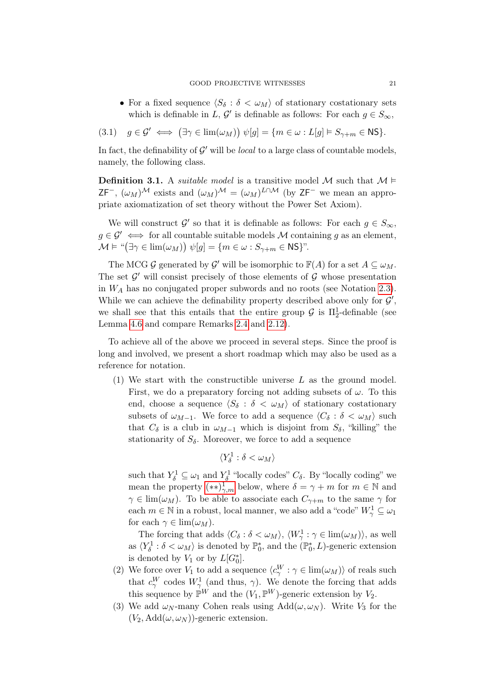<span id="page-20-3"></span>• For a fixed sequence  $\langle S_\delta : \delta < \omega_M \rangle$  of stationary costationary sets which is definable in L,  $\mathcal{G}'$  is definable as follows: For each  $g \in S_{\infty}$ ,

$$
(3.1) \quad g \in \mathcal{G}' \iff \left(\exists \gamma \in \lim(\omega_M)\right) \psi[g] = \{m \in \omega : L[g] \vDash S_{\gamma+m} \in \mathsf{NS}\}.
$$

In fact, the definability of  $\mathcal{G}'$  will be *local* to a large class of countable models, namely, the following class.

**Definition 3.1.** A *suitable model* is a transitive model M such that  $M \models$  $ZF^{-}$ ,  $(\omega_M)^{\mathcal{M}}$  exists and  $(\omega_M)^{\mathcal{M}} = (\omega_M)^{L \cap \mathcal{M}}$  (by  $ZF^{-}$  we mean an appropriate axiomatization of set theory without the Power Set Axiom).

We will construct  $\mathcal{G}'$  so that it is definable as follows: For each  $g \in S_{\infty}$ ,  $g \in \mathcal{G}' \iff$  for all countable suitable models M containing g as an element,  $\mathcal{M} \models \text{``}(\exists \gamma \in \text{lim}(\omega_M)) \text{ }\psi[g] = \{m \in \omega : S_{\gamma+m} \in \text{NS}\}$ ".

The MCG  $\mathcal G$  generated by  $\mathcal G'$  will be isomorphic to  $\mathbb F(A)$  for a set  $A \subseteq \omega_M$ . The set  $\mathcal{G}'$  will consist precisely of those elements of  $\mathcal{G}$  whose presentation in  $W_A$  has no conjugated proper subwords and no roots (see Notation [2.3\)](#page-7-1). While we can achieve the definability property described above only for  $\mathcal{G}'$ , we shall see that this entails that the entire group  $\mathcal G$  is  $\Pi^1_2$ -definable (see Lemma [4.6](#page-29-0) and compare Remarks [2.4](#page-7-0) and [2.12\)](#page-12-0).

To achieve all of the above we proceed in several steps. Since the proof is long and involved, we present a short roadmap which may also be used as a reference for notation.

<span id="page-20-0"></span>(1) We start with the constructible universe L as the ground model. First, we do a preparatory forcing not adding subsets of  $\omega$ . To this end, choose a sequence  $\langle S_\delta : \delta < \omega_M \rangle$  of stationary costationary subsets of  $\omega_{M-1}$ . We force to add a sequence  $\langle C_\delta : \delta < \omega_M \rangle$  such that  $C_{\delta}$  is a club in  $\omega_{M-1}$  which is disjoint from  $S_{\delta}$ , "killing" the stationarity of  $S_{\delta}$ . Moreover, we force to add a sequence

$$
\langle Y_\delta^1 : \delta < \omega_M \rangle
$$

such that  $Y_{\delta}^1 \subseteq \omega_1$  and  $Y_{\delta}^1$  "locally codes"  $C_{\delta}$ . By "locally coding" we mean the property  $(**)^{\mathbf{1}}_{\gamma,m}$  below, where  $\delta = \gamma + m$  for  $m \in \mathbb{N}$  and  $\gamma \in \lim(\omega_M)$ . To be able to associate each  $C_{\gamma+m}$  to the same  $\gamma$  for each  $m \in \mathbb{N}$  in a robust, local manner, we also add a "code"  $W^1_{\gamma} \subseteq \omega_1$ for each  $\gamma \in \lim(\omega_M)$ .

The forcing that adds  $\langle C_\delta : \delta < \omega_M \rangle$ ,  $\langle W_\gamma^1 : \gamma \in \text{lim}(\omega_M) \rangle$ , as well as  $\langle Y_\delta^1 : \delta < \omega_M \rangle$  is denoted by  $\mathbb{P}_0^*$ , and the  $(\mathbb{P}_0^*, L)$ -generic extension is denoted by  $V_1$  or by  $L[G_0^*].$ 

- <span id="page-20-1"></span>(2) We force over  $V_1$  to add a sequence  $\langle c_{\gamma}^W : \gamma \in \lim(\omega_M) \rangle$  of reals such that  $c_{\gamma}^{W}$  codes  $W_{\gamma}^{1}$  (and thus,  $\gamma$ ). We denote the forcing that adds this sequence by  $\mathbb{P}^W$  and the  $(V_1, \mathbb{P}^W)$ -generic extension by  $V_2$ .
- <span id="page-20-2"></span>(3) We add  $\omega_N$ -many Cohen reals using  $Add(\omega, \omega_N)$ . Write  $V_3$  for the  $(V_2, \text{Add}(\omega, \omega_N))$ -generic extension.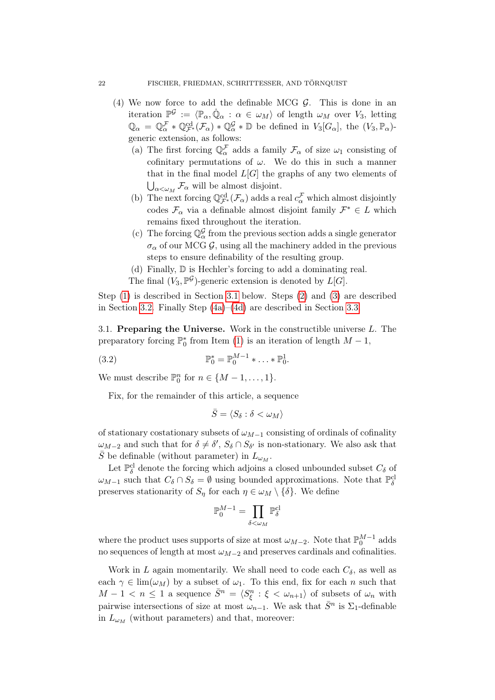- <span id="page-21-1"></span>(4) We now force to add the definable MCG  $\mathcal{G}$ . This is done in an iteration  $\mathbb{P}^{\mathcal{G}} := \langle \mathbb{P}_{\alpha}, \dot{\mathbb{Q}}_{\alpha} : \alpha \in \omega_M \rangle$  of length  $\omega_M$  over  $V_3$ , letting  $\mathbb{Q}_{\alpha} = \mathbb{Q}_{\alpha}^{\mathcal{F}} * \mathbb{Q}_{\mathcal{F}^*}^{\mathrm{cd}}(\mathcal{F}_{\alpha}) * \mathbb{Q}_{\alpha}^{\mathcal{G}} * \mathbb{D}$  be defined in  $V_3[G_{\alpha}]$ , the  $(V_3, \mathbb{P}_{\alpha})$ generic extension, as follows:
	- (a) The first forcing  $\mathbb{Q}_{\alpha}^{\mathcal{F}}$  adds a family  $\mathcal{F}_{\alpha}$  of size  $\omega_1$  consisting of cofinitary permutations of  $\omega$ . We do this in such a manner that in the final model  $L[G]$  the graphs of any two elements of  $\bigcup_{\alpha<\omega_M}\mathcal{F}_\alpha$  will be almost disjoint.
	- (b) The next forcing  $\mathbb{Q}^{\text{cd}}_{\mathcal{F}^*}(\mathcal{F}_\alpha)$  adds a real  $c_\alpha^{\mathcal{F}}$  which almost disjointly codes  $\mathcal{F}_{\alpha}$  via a definable almost disjoint family  $\mathcal{F}^* \in L$  which remains fixed throughout the iteration.
	- (c) The forcing  $\mathbb{Q}_{\alpha}^{\mathcal{G}}$  from the previous section adds a single generator  $\sigma_{\alpha}$  of our MCG  $\mathcal{G}$ , using all the machinery added in the previous steps to ensure definability of the resulting group.
	- (d) Finally, D is Hechler's forcing to add a dominating real.
	- The final  $(V_3, \mathbb{P}^{\mathcal{G}})$ -generic extension is denoted by  $L[G]$ .

<span id="page-21-2"></span>Step [\(1\)](#page-20-0) is described in Section [3.1](#page-21-0) below. Steps [\(2\)](#page-20-1) and [\(3\)](#page-20-2) are described in Section [3.2.](#page-23-0) Finally Step [\(4a\)](#page-21-1)–[\(4d\)](#page-21-2) are described in Section [3.3.](#page-24-0)

<span id="page-21-0"></span>3.1. Preparing the Universe. Work in the constructible universe L. The preparatory forcing  $\mathbb{P}_0^*$  from Item [\(1\)](#page-20-0) is an iteration of length  $M-1$ ,

(3.2) 
$$
\mathbb{P}_0^* = \mathbb{P}_0^{M-1} * \ldots * \mathbb{P}_0^1.
$$

We must describe  $\mathbb{P}_0^n$  for  $n \in \{M-1, \ldots, 1\}$ .

Fix, for the remainder of this article, a sequence

<span id="page-21-3"></span>
$$
\bar{S} = \langle S_{\delta} : \delta < \omega_M \rangle
$$

of stationary costationary subsets of  $\omega_{M-1}$  consisting of ordinals of cofinality  $\omega_{M-2}$  and such that for  $\delta \neq \delta'$ ,  $S_{\delta} \cap S_{\delta'}$  is non-stationary. We also ask that  $\overline{S}$  be definable (without parameter) in  $L_{\omega_M}$ .

Let  $\mathbb{P}^{\rm cl}_\delta$  denote the forcing which adjoins a closed unbounded subset  $C_\delta$  of  $\omega_{M-1}$  such that  $C_{\delta} \cap S_{\delta} = \emptyset$  using bounded approximations. Note that  $\mathbb{P}^{cl}_{\delta}$ preserves stationarity of  $S_{\eta}$  for each  $\eta \in \omega_M \setminus {\{\delta\}}$ . We define

$$
\mathbb{P}^{M-1}_0=\prod_{\delta<\omega_M}\mathbb{P}^{\mathrm{cl}}_\delta
$$

where the product uses supports of size at most  $\omega_{M-2}$ . Note that  $\mathbb{P}_0^{M-1}$  adds no sequences of length at most  $\omega_{M-2}$  and preserves cardinals and cofinalities.

Work in L again momentarily. We shall need to code each  $C_{\delta}$ , as well as each  $\gamma \in \lim(\omega_M)$  by a subset of  $\omega_1$ . To this end, fix for each n such that  $M-1 < n \leq 1$  a sequence  $\bar{S}^n = \langle S_{\xi}^n : \xi < \omega_{n+1} \rangle$  of subsets of  $\omega_n$  with pairwise intersections of size at most  $\omega_{n-1}$ . We ask that  $\bar{S}^n$  is  $\Sigma_1$ -definable in  $L_{\omega_M}$  (without parameters) and that, moreover: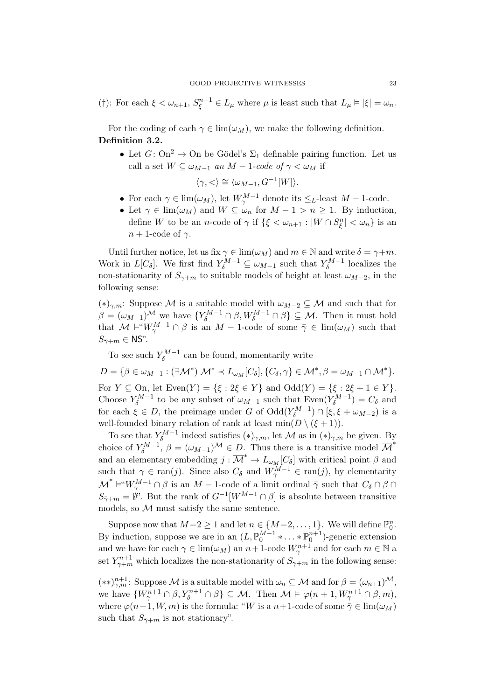<span id="page-22-2"></span>(†): For each  $\xi < \omega_{n+1}$ ,  $S_{\xi}^{n+1} \in L_{\mu}$  where  $\mu$  is least such that  $L_{\mu} \models |\xi| = \omega_n$ .

For the coding of each  $\gamma \in \lim(\omega_M)$ , we make the following definition. Definition 3.2.

• Let  $G: \text{On}^2 \to \text{On}$  be Gödel's  $\Sigma_1$  definable pairing function. Let us call a set  $W \subseteq \omega_{M-1}$  an  $M-1$ -code of  $\gamma < \omega_M$  if

$$
\langle \gamma, < \rangle \cong \langle \omega_{M-1}, G^{-1}[W] \rangle.
$$

- For each  $\gamma \in \lim(\omega_M)$ , let  $W^{M-1}_{\gamma}$  denote its  $\leq_L$ -least  $M-1$ -code.
- Let  $\gamma \in \lim(\omega_M)$  and  $W \subseteq \omega_n$  for  $M 1 > n \ge 1$ . By induction, define W to be an *n*-code of  $\gamma$  if  $\{\xi < \omega_{n+1} : |W \cap S_{\xi}^n| < \omega_n\}$  is an  $n+1$ -code of  $\gamma$ .

Until further notice, let us fix  $\gamma \in \lim(\omega_M)$  and  $m \in \mathbb{N}$  and write  $\delta = \gamma + m$ . Work in  $L[C_{\delta}]$ . We first find  $Y_{\delta}^{M-1} \subseteq \omega_{M-1}$  such that  $Y_{\delta}^{M-1}$  $\delta^{M-1}$  localizes the non-stationarity of  $S_{\gamma+m}$  to suitable models of height at least  $\omega_{M-2}$ , in the following sense:

<span id="page-22-1"></span>(\*)<sub>γ,m</sub>: Suppose M is a suitable model with  $\omega_{M-2}$  ⊆ M and such that for  $\beta = (\omega_{M-1})^{\mathcal{M}}$  we have  $\{Y_{\delta}^{M-1} \cap \beta, W_{\delta}^{M-1} \cap \beta\} \subseteq \mathcal{M}$ . Then it must hold that  $M \vDash "W_{\gamma}^{M-1} \cap \beta$  is an  $M-1$ -code of some  $\overline{\gamma} \in \lim(\omega_M)$  such that  $S_{\bar{\gamma}+m} \in \text{NS}$ ".

To see such  $Y_{\delta}^{M-1}$  $\delta^{M-1}$  can be found, momentarily write

 $D = \{ \beta \in \omega_{M-1} : (\exists \mathcal{M}^*) \mathcal{M}^* \prec L_{\omega_M}[C_\delta], \{C_\delta, \gamma\} \in \mathcal{M}^*, \beta = \omega_{M-1} \cap \mathcal{M}^* \}.$ For  $Y \subseteq \text{On}$ , let  $\text{Even}(Y) = \{\xi : 2\xi \in Y\}$  and  $\text{Odd}(Y) = \{\xi : 2\xi + 1 \in Y\}.$ Choose  $Y_{\delta}^{M-1}$  $\epsilon^{M-1}$  to be any subset of  $\omega_{M-1}$  such that Even $(Y_{\delta}^{M-1})$  $\delta^{(M-1)}$  =  $C_{\delta}$  and for each  $\xi \in D$ , the preimage under G of  $\text{Odd}(Y^{M-1}_{\delta})$  $\binom{M-1}{\delta} \cap [\xi, \xi + \omega_{M-2}]$  is a well-founded binary relation of rank at least  $\min(D \setminus (\xi + 1)).$ 

To see that  $Y_{\delta}^{M-1}$  $\delta^{\{M-1\}}$  indeed satisfies  $(*)_{\gamma,m}$ , let M as in  $(*)_{\gamma,m}$  be given. By choice of  $Y_{\delta}^{M-1}$  $\sigma_{\delta}^{M-1}, \beta = (\omega_{M-1})^{\mathcal{M}} \in D.$  Thus there is a transitive model  $\overline{\mathcal{M}}^*$ and an elementary embedding  $j : \overline{\mathcal{M}}^* \to L_{\omega_M}[C_\delta]$  with critical point  $\beta$  and such that  $\gamma \in \text{ran}(j)$ . Since also  $C_{\delta}$  and  $W_{\gamma}^{M-1} \in \text{ran}(j)$ , by elementarity  $\overline{\mathcal{M}}^* \models ``W_{\gamma}^{M-1} \cap \beta$  is an  $M-1$ -code of a limit ordinal  $\overline{\gamma}$  such that  $C_{\delta} \cap \beta \cap$  $S_{\bar{\gamma}+m} = \emptyset$ ". But the rank of  $G^{-1}[W^{M-1} \cap \beta]$  is absolute between transitive models, so  $M$  must satisfy the same sentence.

Suppose now that  $M-2 \geq 1$  and let  $n \in \{M-2, \ldots, 1\}$ . We will define  $\mathbb{P}_0^n$ . By induction, suppose we are in an  $(L, \mathbb{P}_0^{M-1} * ... * \mathbb{P}_0^{n+1})$ -generic extension and we have for each  $\gamma \in \lim(\omega_M)$  an  $n+1$ -code  $W^{n+1}_{\gamma}$  and for each  $m \in \mathbb{N}$  a set  $Y_{\gamma+m}^{n+1}$  which localizes the non-stationarity of  $S_{\gamma+m}$  in the following sense:

<span id="page-22-0"></span> $(**)_{\gamma,m}^{n+1}$ : Suppose M is a suitable model with  $\omega_n \subseteq M$  and for  $\beta = (\omega_{n+1})^{\mathcal{M}},$ we have  $\{W^{n+1}_{\gamma} \cap \beta, Y^{n+1}_{\delta} \cap \beta\} \subseteq M$ . Then  $\mathcal{M} \models \varphi(n+1, W^{n+1}_{\gamma} \cap \beta, m)$ , where  $\varphi(n+1, W, m)$  is the formula: "W is a  $n+1$ -code of some  $\bar{\gamma} \in \lim(\omega_M)$ such that  $S_{\bar{\gamma}+m}$  is not stationary".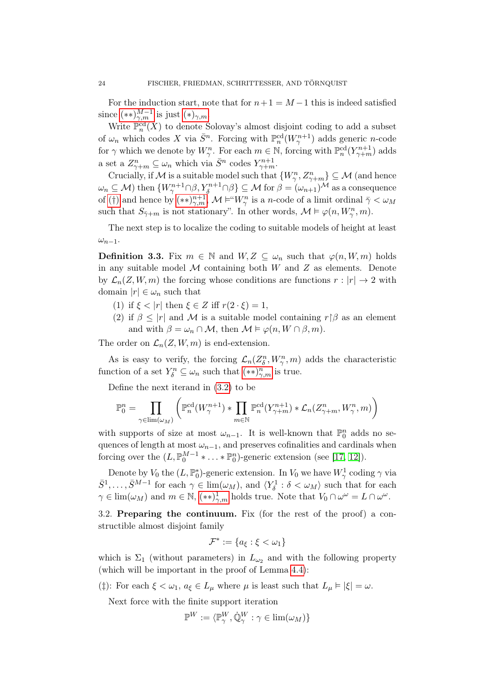For the induction start, note that for  $n+1 = M-1$  this is indeed satisfied since  $(**)_{\gamma,m}^{M-1}$  is just  $(*)_{\gamma,m}$ .

Write  $\mathbb{P}^{\text{cd}}_n(X)$  to denote Solovay's almost disjoint coding to add a subset of  $\omega_n$  which codes X via  $\bar{S}^n$ . Forcing with  $\mathbb{P}_n^{\text{cd}}(W^{n+1}_\gamma)$  adds generic n-code for  $\gamma$  which we denote by  $W_{\gamma}^n$ . For each  $m \in \mathbb{N}$ , forcing with  $\mathbb{P}_n^{\text{cd}}(Y_{\gamma+m}^{n+1})$  adds a set a  $Z_{\gamma+m}^n \subseteq \omega_n$  which via  $\bar{S}^n$  codes  $Y_{\gamma+m}^{n+1}$ .

Crucially, if M is a suitable model such that  $\{W_{\gamma}^n, Z_{\gamma+m}^n\} \subseteq \mathcal{M}$  (and hence  $\omega_n\subseteq\mathcal{M})$  then  $\{W^{n+1}_{\gamma}\cap\beta, Y^{n+1}_{\delta}\cap\beta\}\subseteq\mathcal{M}$  for  $\beta=(\omega_{n+1})^{\mathcal{M}}$  as a consequence of [\(](#page-22-2)†) and hence by  $(**)_{\gamma,m}^{n+1}$ ,  $\mathcal{M} \models ``W_{\gamma}^n$  is a n-code of a limit ordinal  $\bar{\gamma} < \omega_M$ such that  $S_{\bar{\gamma}+m}$  is not stationary". In other words,  $\mathcal{M} \models \varphi(n, W_{\gamma}^n, m)$ .

The next step is to localize the coding to suitable models of height at least  $\omega_{n-1}$ .

**Definition 3.3.** Fix  $m \in \mathbb{N}$  and  $W, Z \subseteq \omega_n$  such that  $\varphi(n, W, m)$  holds in any suitable model  $M$  containing both  $W$  and  $Z$  as elements. Denote by  $\mathcal{L}_n(Z, W, m)$  the forcing whose conditions are functions  $r : |r| \to 2$  with domain  $|r| \in \omega_n$  such that

- (1) if  $\xi < |r|$  then  $\xi \in Z$  iff  $r(2 \cdot \xi) = 1$ ,
- (2) if  $\beta \leq |r|$  and M is a suitable model containing  $r \beta$  as an element and with  $\beta = \omega_n \cap \mathcal{M}$ , then  $\mathcal{M} \models \varphi(n, W \cap \beta, m)$ .

The order on  $\mathcal{L}_n(Z, W, m)$  is end-extension.

As is easy to verify, the forcing  $\mathcal{L}_n(Z_\delta^n, W_\gamma^n, m)$  adds the characteristic function of a set  $Y_{\delta}^n \subseteq \omega_n$  such that  $(**)_{\gamma,m}^n$  is true.

Define the next iterand in [\(3.2\)](#page-21-3) to be

$$
\mathbb{P}_0^n = \prod_{\gamma \in \text{lim}(\omega_M)} \left( \mathbb{P}_n^{\text{cd}}(W_\gamma^{n+1}) * \prod_{m \in \mathbb{N}} \mathbb{P}_n^{\text{cd}}(Y_{\gamma+m}^{n+1}) * \mathcal{L}_n(Z_{\gamma+m}^n, W_\gamma^n, m) \right)
$$

with supports of size at most  $\omega_{n-1}$ . It is well-known that  $\mathbb{P}_0^n$  adds no sequences of length at most  $\omega_{n-1}$ , and preserves cofinalities and cardinals when forcing over the  $(L, \mathbb{P}_0^{M-1} * ... * \mathbb{P}_0^n)$ -generic extension (see [\[17,](#page-31-13) [12\]](#page-31-15)).

Denote by  $V_0$  the  $(L, \mathbb{P}_0^*)$ -generic extension. In  $V_0$  we have  $W^1_\gamma$  coding  $\gamma$  via  $\bar{S}^1,\ldots,\bar{S}^{M-1}$  for each  $\gamma\in\lim(\omega_M)$ , and  $\langle Y^1_\delta:\delta<\omega_M\rangle$  such that for each  $\gamma \in \lim(\omega_M)$  and  $m \in \mathbb{N}$ ,  $(**)_{\gamma,m}^1$  holds true. Note that  $V_0 \cap \omega^{\omega} = L \cap \omega^{\omega}$ .

<span id="page-23-0"></span>3.2. Preparing the continuum. Fix (for the rest of the proof) a constructible almost disjoint family

$$
\mathcal{F}^* := \{a_{\xi} : \xi < \omega_1\}
$$

which is  $\Sigma_1$  (without parameters) in  $L_{\omega_2}$  and with the following property (which will be important in the proof of Lemma [4.4\)](#page-29-1):

<span id="page-23-1"></span>( $\sharp$ ): For each  $\xi < \omega_1, a_{\xi} \in L_{\mu}$  where  $\mu$  is least such that  $L_{\mu} \models |\xi| = \omega$ .

Next force with the finite support iteration

$$
\mathbb{P}^W:=\langle \mathbb{P}^W_\gamma, \dot{\mathbb{Q}}^W_\gamma: \gamma \in \lim(\omega_M)\}
$$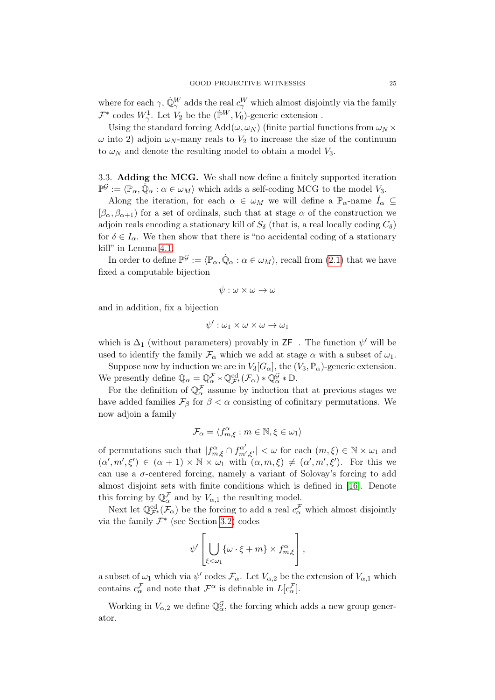where for each  $\gamma$ ,  $\dot{\mathbb{Q}}_{\gamma}^{W}$  adds the real  $c_{\gamma}^{W}$  which almost disjointly via the family  $\mathcal{F}^*$  codes  $W^1_\gamma$ . Let  $V_2$  be the  $(\dot{\mathbb{P}}^W, V_0)$ -generic extension.

Using the standard forcing  $Add(\omega, \omega_N)$  (finite partial functions from  $\omega_N \times$  $\omega$  into 2) adjoin  $\omega_N$ -many reals to  $V_2$  to increase the size of the continuum to  $\omega_N$  and denote the resulting model to obtain a model  $V_3$ .

<span id="page-24-0"></span>3.3. Adding the MCG. We shall now define a finitely supported iteration  $\mathbb{P}^{\mathcal{G}} := \langle \mathbb{P}_{\alpha}, \dot{\mathbb{Q}}_{\alpha} : \alpha \in \omega_M \rangle$  which adds a self-coding MCG to the model  $V_3$ .

Along the iteration, for each  $\alpha \in \omega_M$  we will define a  $\mathbb{P}_{\alpha}$ -name  $I_{\alpha} \subseteq$  $[\beta_{\alpha}, \beta_{\alpha+1}]$  for a set of ordinals, such that at stage  $\alpha$  of the construction we adjoin reals encoding a stationary kill of  $S_{\delta}$  (that is, a real locally coding  $C_{\delta}$ ) for  $\delta \in I_{\alpha}$ . We then show that there is "no accidental coding of a stationary kill" in Lemma [4.1.](#page-27-0)

In order to define  $\mathbb{P}^{\mathcal{G}} := \langle \mathbb{P}_{\alpha}, \dot{\mathbb{Q}}_{\alpha} : \alpha \in \omega_M \rangle$ , recall from [\(2.1\)](#page-4-2) that we have fixed a computable bijection

$$
\psi:\omega\times\omega\to\omega
$$

and in addition, fix a bijection

$$
\psi':\omega_1\times\omega\times\omega\to\omega_1
$$

which is  $\Delta_1$  (without parameters) provably in  $\mathsf{ZF}^-$ . The function  $\psi'$  will be used to identify the family  $\mathcal{F}_{\alpha}$  which we add at stage  $\alpha$  with a subset of  $\omega_1$ .

Suppose now by induction we are in  $V_3[G_\alpha]$ , the  $(V_3, \mathbb{P}_\alpha)$ -generic extension. We presently define  $\mathbb{Q}_{\alpha} = \mathbb{Q}_{\alpha}^{\mathcal{F}} * \mathbb{Q}_{\mathcal{F}^*}^{\mathrm{cd}}(\mathcal{F}_{\alpha}) * \mathbb{Q}_{\alpha}^{\mathcal{G}} * \mathbb{D}$ .

For the definition of  $\mathbb{Q}_{\alpha}^{\mathcal{F}}$  assume by induction that at previous stages we have added families  $\mathcal{F}_{\beta}$  for  $\beta < \alpha$  consisting of cofinitary permutations. We now adjoin a family

$$
\mathcal{F}_{\alpha} = \langle f_{m,\xi}^{\alpha} : m \in \mathbb{N}, \xi \in \omega_1 \rangle
$$

of permutations such that  $|f_{m,\xi}^{\alpha} \cap f_{m',\xi'}^{\alpha'}| < \omega$  for each  $(m,\xi) \in \mathbb{N} \times \omega_1$  and  $(\alpha', m', \xi') \in (\alpha + 1) \times \mathbb{N} \times \omega_1$  with  $(\alpha, m, \xi) \neq (\alpha', m', \xi')$ . For this we can use a  $\sigma$ -centered forcing, namely a variant of Solovay's forcing to add almost disjoint sets with finite conditions which is defined in [\[16\]](#page-31-3). Denote this forcing by  $\mathbb{Q}_{\alpha}^{\mathcal{F}}$  and by  $V_{\alpha,1}$  the resulting model.

Next let  $\mathbb{Q}^{\text{cd}}_{\mathcal{F}^*}(\mathcal{F}_\alpha)$  be the forcing to add a real  $c^{\mathcal{F}}_\alpha$  which almost disjointly via the family  $\mathcal{F}^*$  (see Section [3.2\)](#page-23-0) codes

$$
\psi'\left[\bigcup_{\xi<\omega_1}\{\omega\cdot\xi+m\}\times f_{m,\xi}^{\alpha}\right],
$$

a subset of  $\omega_1$  which via  $\psi'$  codes  $\mathcal{F}_{\alpha}$ . Let  $V_{\alpha,2}$  be the extension of  $V_{\alpha,1}$  which contains  $c_{\alpha}^{\mathcal{F}}$  and note that  $\mathcal{F}^{\alpha}$  is definable in  $L[c_{\alpha}^{\mathcal{F}}]$ .

Working in  $V_{\alpha,2}$  we define  $\mathbb{Q}_{\alpha}^{\mathcal{G}}$ , the forcing which adds a new group generator.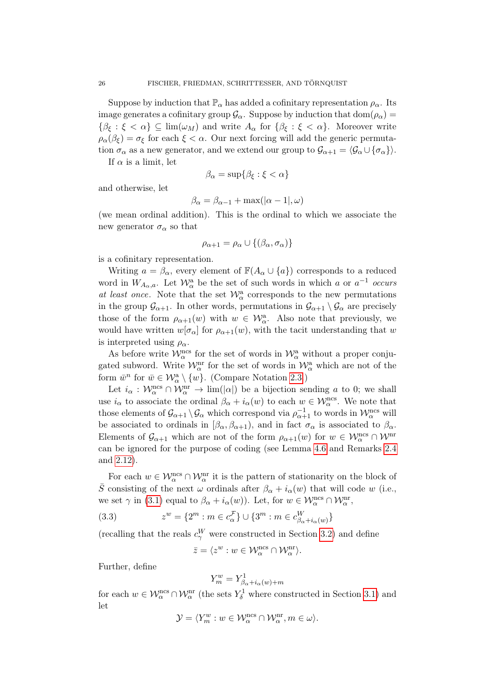Suppose by induction that  $\mathbb{P}_{\alpha}$  has added a cofinitary representation  $\rho_{\alpha}$ . Its image generates a cofinitary group  $\mathcal{G}_{\alpha}$ . Suppose by induction that dom $(\rho_{\alpha})$  =  $\{\beta_{\xi} : \xi < \alpha\} \subseteq \lim(\omega_M)$  and write  $A_{\alpha}$  for  $\{\beta_{\xi} : \xi < \alpha\}$ . Moreover write  $\rho_{\alpha}(\beta_{\xi}) = \sigma_{\xi}$  for each  $\xi < \alpha$ . Our next forcing will add the generic permutation  $\sigma_{\alpha}$  as a new generator, and we extend our group to  $\mathcal{G}_{\alpha+1} = \langle \mathcal{G}_{\alpha} \cup {\sigma_{\alpha}} \rangle$ .

If  $\alpha$  is a limit, let

$$
\beta_{\alpha} = \sup \{ \beta_{\xi} : \xi < \alpha \}
$$

and otherwise, let

$$
\beta_{\alpha} = \beta_{\alpha-1} + \max(|\alpha - 1|, \omega)
$$

(we mean ordinal addition). This is the ordinal to which we associate the new generator  $\sigma_{\alpha}$  so that

$$
\rho_{\alpha+1} = \rho_{\alpha} \cup \{(\beta_{\alpha}, \sigma_{\alpha})\}
$$

is a cofinitary representation.

Writing  $a = \beta_{\alpha}$ , every element of  $\mathbb{F}(A_{\alpha} \cup \{a\})$  corresponds to a reduced word in  $W_{A_{\alpha},a}$ . Let  $\mathcal{W}_{\alpha}^{a}$  be the set of such words in which a or  $a^{-1}$  occurs at least once. Note that the set  $\mathcal{W}_{\alpha}^{\mathbf{a}}$  corresponds to the new permutations in the group  $\mathcal{G}_{\alpha+1}$ . In other words, permutations in  $\mathcal{G}_{\alpha+1} \setminus \mathcal{G}_{\alpha}$  are precisely those of the form  $\rho_{\alpha+1}(w)$  with  $w \in \mathcal{W}_\alpha^{\mathbf{a}}$ . Also note that previously, we would have written  $w[\sigma_{\alpha}]$  for  $\rho_{\alpha+1}(w)$ , with the tacit understanding that w is interpreted using  $\rho_{\alpha}$ .

As before write  $\mathcal{W}_{\alpha}^{\text{ncs}}$  for the set of words in  $\mathcal{W}_{\alpha}^{\text{a}}$  without a proper conjugated subword. Write  $\mathcal{W}_{\alpha}^{\text{nr}}$  for the set of words in  $\mathcal{W}_{\alpha}^{\text{a}}$  which are not of the form  $\bar{w}^n$  for  $\bar{w} \in \mathcal{W}_\alpha^{\mathsf{a}} \setminus \{w\}$ . (Compare Notation [2.3.](#page-7-1))

Let  $i_{\alpha}$ :  $\mathcal{W}_{\alpha}^{\text{ncs}} \cap \mathcal{W}_{\alpha}^{\text{nr}} \to \text{lim}(|\alpha|)$  be a bijection sending a to 0; we shall use  $i_{\alpha}$  to associate the ordinal  $\beta_{\alpha} + i_{\alpha}(w)$  to each  $w \in \mathcal{W}_{\alpha}^{\text{ncs}}$ . We note that those elements of  $\mathcal{G}_{\alpha+1} \setminus \mathcal{G}_{\alpha}$  which correspond via  $\rho_{\alpha+1}^{-1}$  to words in  $\mathcal{W}_{\alpha}^{\text{ncs}}$  will be associated to ordinals in  $[\beta_{\alpha}, \beta_{\alpha+1})$ , and in fact  $\sigma_{\alpha}$  is associated to  $\beta_{\alpha}$ . Elements of  $\mathcal{G}_{\alpha+1}$  which are not of the form  $\rho_{\alpha+1}(w)$  for  $w \in \mathcal{W}_\alpha^{\text{ncs}} \cap \mathcal{W}^{\text{nr}}$ can be ignored for the purpose of coding (see Lemma [4.6](#page-29-0) and Remarks [2.4](#page-7-0) and [2.12\)](#page-12-0).

For each  $w \in \mathcal{W}_\alpha^{\text{ncs}} \cap \mathcal{W}_\alpha^{\text{nr}}$  it is the pattern of stationarity on the block of  $\bar{S}$  consisting of the next  $\omega$  ordinals after  $\beta_{\alpha} + i_{\alpha}(w)$  that will code w (i.e., we set  $\gamma$  in [\(3.1\)](#page-20-3) equal to  $\beta_{\alpha} + i_{\alpha}(w)$ ). Let, for  $w \in \mathcal{W}_{\alpha}^{\text{ncs}} \cap \mathcal{W}_{\alpha}^{\text{nr}}$ ,

(3.3) 
$$
z^{w} = \{2^{m} : m \in c_{\alpha}^{\mathcal{F}}\} \cup \{3^{m} : m \in c_{\beta_{\alpha} + i_{\alpha}(w)}^{W}\}\
$$

(recalling that the reals  $c_{\gamma}^{W}$  were constructed in Section [3.2\)](#page-23-0) and define

<span id="page-25-0"></span>
$$
\bar{z} = \langle z^w : w \in \mathcal{W}_\alpha^\mathrm{ncs} \cap \mathcal{W}_\alpha^\mathrm{nr} \rangle.
$$

Further, define

$$
Y^w_m=Y^1_{\beta_\alpha+i_\alpha(w)+m}
$$

for each  $w \in \mathcal{W}_\alpha^{\text{ncs}} \cap \mathcal{W}_\alpha^{\text{nr}}$  (the sets  $Y_\delta^1$  where constructed in Section [3.1\)](#page-21-0) and let

$$
\mathcal{Y} = \langle Y_m^w : w \in \mathcal{W}_\alpha^{\mathrm{ncs}} \cap \mathcal{W}_\alpha^{\mathrm{nr}}, m \in \omega \rangle.
$$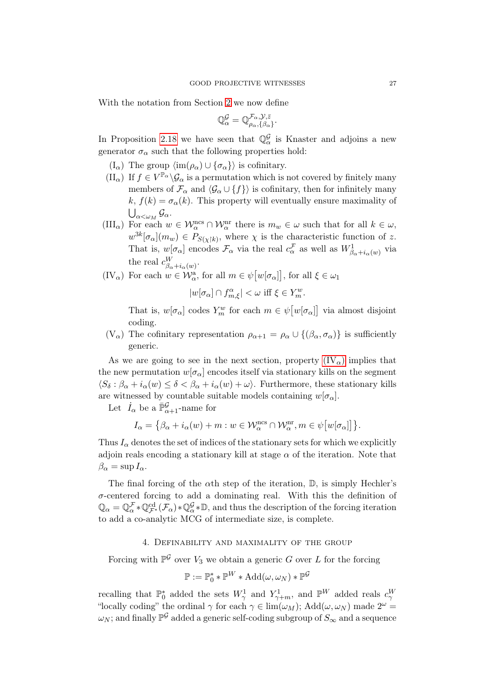With the notation from Section [2](#page-4-0) we now define

$$
\mathbb{Q}_{\alpha}^{\mathcal{G}} = \mathbb{Q}^{\mathcal{F}_{\alpha}, \mathcal{Y}, \bar{z}}_{\rho_{\alpha}, {\{\beta_{\alpha}\}}}.
$$

In Proposition [2.18](#page-17-7) we have seen that  $\mathbb{Q}_{\alpha}^{\mathcal{G}}$  is Knaster and adjoins a new generator  $\sigma_{\alpha}$  such that the following properties hold:

- <span id="page-26-2"></span> $(I_{\alpha})$  The group  $\langle \text{im}(\rho_{\alpha}) \cup {\sigma_{\alpha}} \rangle$  is cofinitary.
- <span id="page-26-3"></span> $(\Pi_{\alpha})$  If  $f \in V^{\mathbb{P}_{\alpha}}\backslash \mathcal{G}_{\alpha}$  is a permutation which is not covered by finitely many members of  $\mathcal{F}_{\alpha}$  and  $\langle \mathcal{G}_{\alpha} \cup \{f\} \rangle$  is cofinitary, then for infinitely many  $k, f(k) = \sigma_{\alpha}(k)$ . This property will eventually ensure maximality of  $\bigcup_{\alpha<\omega_{M}}\mathcal{G}_{\alpha}.$
- <span id="page-26-4"></span> $(HI_{\alpha})$  For each  $w \in \mathcal{W}_{\alpha}^{\text{ncs}} \cap \mathcal{W}_{\alpha}^{\text{nr}}$  there is  $m_w \in \omega$  such that for all  $k \in \omega$ ,  $w^{3k}[\sigma_{\alpha}](m_w) \in P_{S(\chi|k)}$ , where  $\chi$  is the characteristic function of z. That is,  $w[\sigma_\alpha]$  encodes  $\mathcal{F}_\alpha$  via the real  $c_\alpha^{\mathcal{F}}$  as well as  $W^1_{\beta_\alpha + i_\alpha(w)}$  via the real  $c_{\beta_{\alpha}+i_{\alpha}(w)}^{W}$ .
- <span id="page-26-1"></span> $(V_{\alpha})$  For each  $w \in \mathcal{W}_{\alpha}^{\mathbf{a}},$  for all  $m \in \psi[w[\sigma_{\alpha}]]$ , for all  $\xi \in \omega_1$

$$
|w[\sigma_\alpha] \cap f_{m,\xi}^\alpha| < \omega \text{ iff } \xi \in Y_m^w.
$$

That is,  $w[\sigma_{\alpha}]$  codes  $Y_m^w$  for each  $m \in \psi[w[\sigma_{\alpha}]]$  via almost disjoint coding.

(V<sub>α</sub>) The cofinitary representation  $\rho_{\alpha+1} = \rho_\alpha \cup \{(\beta_\alpha, \sigma_\alpha)\}\$ is sufficiently generic.

As we are going to see in the next section, property  $(V_{\alpha})$  implies that the new permutation  $w[\sigma_{\alpha}]$  encodes itself via stationary kills on the segment  $\langle S_\delta : \beta_\alpha + i_\alpha(w) \leq \delta < \beta_\alpha + i_\alpha(w) + \omega \rangle$ . Furthermore, these stationary kills are witnessed by countable suitable models containing  $w[\sigma_{\alpha}]$ .

Let  $\dot{I}_{\alpha}$  be a  $\bar{\mathbb{P}}_{\alpha+1}^{\mathcal{G}}$ -name for

$$
I_\alpha = \big\{\beta_\alpha + i_\alpha(w) + m: w \in \mathcal{W}_\alpha^\mathrm{ncs} \cap \mathcal{W}_\alpha^\mathrm{nr}, m \in \psi\big[w[\sigma_\alpha]\big]\big\}.
$$

Thus  $I_{\alpha}$  denotes the set of indices of the stationary sets for which we explicitly adjoin reals encoding a stationary kill at stage  $\alpha$  of the iteration. Note that  $\beta_{\alpha} = \sup I_{\alpha}$ .

The final forcing of the  $\alpha$ th step of the iteration,  $\mathbb{D}$ , is simply Hechler's  $\sigma$ -centered forcing to add a dominating real. With this the definition of  $\mathbb{Q}_\alpha = \mathbb{Q}^{\mathcal{F}}_\alpha * \mathbb{Q}^{\text{cd}}_{\mathcal{F}^*}(\mathcal{F}_\alpha) * \mathbb{Q}^{\mathcal{G}}_\alpha * \mathbb{D}$ , and thus the description of the forcing iteration to add a co-analytic MCG of intermediate size, is complete.

# 4. Definability and maximality of the group

<span id="page-26-0"></span>Forcing with  $\mathbb{P}^{\mathcal{G}}$  over  $V_3$  we obtain a generic G over L for the forcing

$$
\mathbb{P} := \mathbb{P}_0^* * \mathbb{P}^W * \text{Add}(\omega, \omega_N) * \mathbb{P}^{\mathcal{G}}
$$

recalling that  $\mathbb{P}_0^*$  added the sets  $W_\gamma^1$  and  $Y_{\gamma+m}^1$ , and  $\mathbb{P}^W$  added reals  $c_\gamma^W$ "locally coding" the ordinal  $\gamma$  for each  $\gamma \in \lim(\omega_M)$ ; Add $(\omega, \omega_N)$  made  $2^{\omega} =$  $\omega_N;$  and finally  $\mathbb{P}^{\mathcal{G}}$  added a generic self-coding subgroup of  $S_\infty$  and a sequence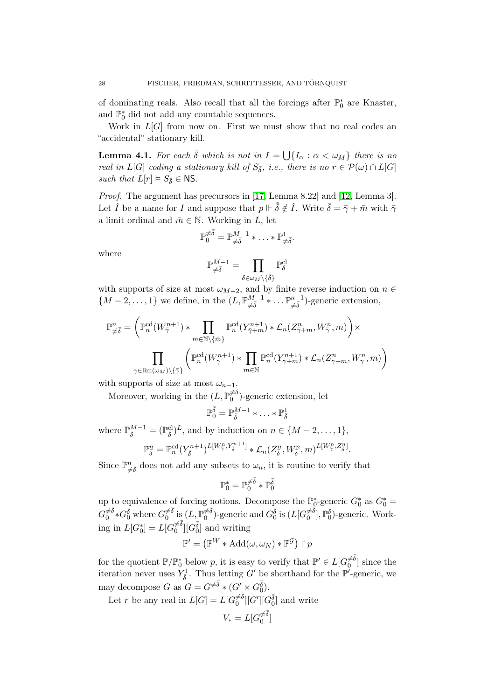of dominating reals. Also recall that all the forcings after  $\mathbb{P}_0^*$  are Knaster, and  $\mathbb{P}_0^*$  did not add any countable sequences.

Work in  $L[G]$  from now on. First we must show that no real codes an "accidental" stationary kill.

<span id="page-27-0"></span>**Lemma 4.1.** For each  $\bar{\delta}$  which is not in  $I = \bigcup \{I_{\alpha} : \alpha < \omega_M\}$  there is no real in  $L[G]$  coding a stationary kill of  $S_{\bar{\delta}}$ , i.e., there is no  $r \in \mathcal{P}(\omega) \cap L[G]$ such that  $L[r] \models S_{\overline{\delta}} \in \mathsf{NS}.$ 

Proof. The argument has precursors in [\[17,](#page-31-13) Lemma 8.22] and [\[12,](#page-31-15) Lemma 3]. Let  $\dot{I}$  be a name for I and suppose that  $p \Vdash \tilde{\delta} \notin \dot{I}$ . Write  $\bar{\delta} = \bar{\gamma} + \bar{m}$  with  $\bar{\gamma}$ a limit ordinal and  $\bar{m} \in \mathbb{N}$ . Working in L, let

$$
\mathbb{P}_0^{\neq \overline{\delta}} = \mathbb{P}_{\neq \overline{\delta}}^{M-1} * \ldots * \mathbb{P}_{\neq \overline{\delta}}^1.
$$

where

$$
\mathbb{P}_{\neq \bar{\delta}}^{M-1} = \prod_{\delta \in \omega_M \backslash \{\bar{\delta}\}} \mathbb{P}^{\mathrm{cl}}_{\delta}
$$

with supports of size at most  $\omega_{M-2}$ , and by finite reverse induction on  $n \in$  $\{M-2,\ldots,1\}$  we define, in the  $(L,\mathbb{P}_{\neq \bar{\delta}}^{M-1} * \ldots \mathbb{P}_{\neq \bar{\delta}}^{n-1})$ -generic extension,

$$
\mathbb{P}^n_{\neq \bar{\delta}} = \left( \mathbb{P}^{\mathrm{cd}}_n(W^{n+1}_{\bar{\gamma}}) * \prod_{m \in \mathbb{N} \setminus \{\bar{m}\}} \mathbb{P}^{\mathrm{cd}}_n(Y^{n+1}_{\bar{\gamma}+m}) * \mathcal{L}_n(Z^n_{\bar{\gamma}+m}, W^n_{\bar{\gamma}}, m) \right) \times \n\prod_{\gamma \in \mathrm{lim}(\omega_M) \setminus \{\bar{\gamma}\}} \left( \mathbb{P}^{\mathrm{cd}}_n(W^{n+1}_{\gamma}) * \prod_{m \in \mathbb{N}} \mathbb{P}^{\mathrm{cd}}_n(Y^{n+1}_{\gamma+m}) * \mathcal{L}_n(Z^n_{\gamma+m}, W^n_{\gamma}, m) \right)
$$

with supports of size at most  $\omega_{n-1}$ .

Moreover, working in the  $(L, \mathbb{P}_0^{\neq \overline{\delta}})$  $\binom{p}{0}$ -generic extension, let

$$
\mathbb{P}^{\bar{\delta}}_0=\mathbb{P}^{M-1}_{\bar{\delta}}*\ldots*\mathbb{P}^1_{\bar{\delta}}
$$

where  $\mathbb{P}_{\bar{\delta}}^{M-1} = (\mathbb{P}_{\bar{\delta}}^{\mathrm{cl}})^{L}$ , and by induction on  $n \in \{M-2,\ldots,1\}$ ,

$$
\mathbb{P}_{\bar{\delta}}^n = \mathbb{P}_n^{\text{cd}}(Y_{\bar{\delta}}^{n+1})^{L[W_{\bar{\gamma}}^n, Y_{\bar{\delta}}^{n+1}]} * \mathcal{L}_n(Z_{\bar{\delta}}^n, W_{\bar{\delta}}^n, m)^{L[W_{\bar{\gamma}}^n, Z_{\bar{\delta}}^n]}.
$$

Since  $\mathbb{P}^n_{\neq \delta}$  does not add any subsets to  $\omega_n$ , it is routine to verify that

$$
\mathbb{P}_0^*=\mathbb{P}_0^{\neq \bar{\delta}}*\mathbb{P}_0^{\bar{\delta}}
$$

up to equivalence of forcing notions. Decompose the  $\mathbb{P}_0^*$ -generic  $G_0^*$  as  $G_0^*$  $G_0^{\neq \bar{\delta}}$  $\check{\bar{\delta}}^{\bar{\delta}}\ast G^{\bar{\delta}}_0$  where  $G^{\neq\bar{\delta}}_0$  $\frac{\neq \bar{\delta}}{0} \text{ is} \, (L, \mathbb{P}^{\neq \bar{\delta}}_0)$  $\bar{\bar\theta}^{\neq \bar\delta}_0$ )-generic and  $G^{\bar\delta}_0$  is  $(L[G_0^{\neq \bar{\bar\delta}}]$  $\begin{bmatrix} \neq \bar{\delta} \\ 0 \end{bmatrix}$ ,  $\mathbb{P}_0^{\bar{\delta}}$ )-generic. Working in  $\mathcal{L}[G_0^*] = \mathcal{L}[G_0^{\neq \overline{\delta}}]$  $\frac{\neq \bar{\delta}}{0}$  [ $G_0^{\bar{\delta}}$ ] and writing

$$
\mathbb{P}'=\left(\mathbb{P}^W*\operatorname{Add}(\omega,\omega_N)*\mathbb{P}^{\mathcal{G}}\right)\restriction p
$$

for the quotient  $\mathbb{P}/\mathbb{P}_0^*$  below p, it is easy to verify that  $\mathbb{P}' \in L[G_0^{\neq \overline{\delta}}]$  $\binom{\neq o}{0}$  since the iteration never uses  $Y_{\overline{\delta}}^1$ . Thus letting G' be shorthand for the  $\mathbb{P}^1$ -generic, we may decompose G as  $G = G^{\neq \bar{\delta}} * (G' \times G_0^{\bar{\delta}})$ .

Let r be any real in  $L[G] = L[G_0^{\neq \overline{\delta}}]$  $\frac{\neq \bar{\delta}}{0}][G'][G_0^{\bar{\delta}}]$  and write

$$
V_*=L[G_0^{\neq \bar \delta}]
$$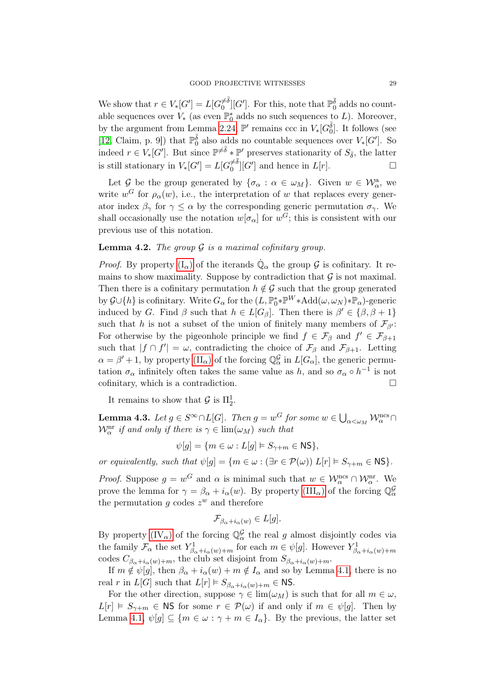We show that  $r \in V_*[G'] = L[G_0^{\neq \overline{\delta}}]$  $\frac{\neq \bar{\delta}}{0}$  [G']. For this, note that  $\mathbb{P}_{0}^{\bar{\delta}}$  adds no countable sequences over  $V_*$  (as even  $\mathbb{P}_0^*$  adds no such sequences to L). Moreover, by the argument from Lemma [2.24,](#page-19-8)  $\mathbb{P}'$  remains ccc in  $V_*[G_0^{\bar{\delta}}]$ . It follows (see [\[12,](#page-31-15) Claim, p. 9]) that  $\mathbb{P}_{0}^{\bar{\delta}}$  also adds no countable sequences over  $V_*[G']$ . So indeed  $r \in V_*[G']$ . But since  $\mathbb{P}^{\neq \bar{\delta}} * \mathbb{P}'$  preserves stationarity of  $S_{\bar{\delta}}$ , the latter is still stationary in  $V_*[G'] = L[G_0^{\neq \overline{\delta}}]$  $\frac{\neq \delta}{0}$ [G'] and hence in  $L[r]$ .

Let G be the group generated by  $\{\sigma_\alpha : \alpha \in \omega_M\}$ . Given  $w \in \mathcal{W}_\alpha^a$ , we write  $w^G$  for  $\rho_\alpha(w)$ , i.e., the interpretation of w that replaces every generator index  $\beta_{\gamma}$  for  $\gamma \leq \alpha$  by the corresponding generic permutation  $\sigma_{\gamma}$ . We shall occasionally use the notation  $w[\sigma_{\alpha}]$  for  $w^G$ ; this is consistent with our previous use of this notation.

# **Lemma 4.2.** The group  $\mathcal G$  is a maximal cofinitary group.

*Proof.* By property  $(I_{\alpha})$  of the iterands  $\dot{\mathbb{Q}}_{\alpha}$  the group  $\mathcal G$  is cofinitary. It remains to show maximality. Suppose by contradiction that  $\mathcal G$  is not maximal. Then there is a cofinitary permutation  $h \notin \mathcal{G}$  such that the group generated by  $\mathcal{G} \cup \{h\}$  is cofinitary. Write  $G_{\alpha}$  for the  $(L, \mathbb{P}_0^* * \mathbb{P}^W * \text{Add}(\omega, \omega_N) * \mathbb{P}_\alpha)$ -generic induced by G. Find  $\beta$  such that  $h \in L[G_\beta]$ . Then there is  $\beta' \in {\beta, \beta + 1}$ such that h is not a subset of the union of finitely many members of  $\mathcal{F}_{\beta}$ : For otherwise by the pigeonhole principle we find  $f \in \mathcal{F}_{\beta}$  and  $f' \in \mathcal{F}_{\beta+1}$ such that  $|f \cap f'| = \omega$ , contradicting the choice of  $\mathcal{F}_{\beta}$  and  $\mathcal{F}_{\beta+1}$ . Letting  $\alpha = \beta' + 1$ , by property  $(\Pi_{\alpha})$  of the forcing  $\mathbb{Q}_{\alpha}^{\mathcal{G}}$  in  $L[G_{\alpha}]$ , the generic permutation  $\sigma_{\alpha}$  infinitely often takes the same value as h, and so  $\sigma_{\alpha} \circ h^{-1}$  is not cofinitary, which is a contradiction.

It remains to show that  $\mathcal{G}$  is  $\Pi_2^1$ .

<span id="page-28-0"></span>**Lemma 4.3.** Let  $g \in S^{\infty} \cap L[G]$ . Then  $g = w^G$  for some  $w \in \bigcup_{\alpha < \omega_M} \mathcal{W}_{\alpha}^{\text{ncs}} \cap$  $\mathcal{W}_{\alpha}^{\text{nr}}$  if and only if there is  $\gamma \in \lim(\omega_M)$  such that

$$
\psi[g] = \{ m \in \omega : L[g] \models S_{\gamma+m} \in \mathsf{NS} \},
$$

or equivalently, such that  $\psi[g] = \{m \in \omega : (\exists r \in \mathcal{P}(\omega)) \ L[r] \models S_{\gamma+m} \in \mathbb{NS} \}.$ 

*Proof.* Suppose  $g = w^G$  and  $\alpha$  is minimal such that  $w \in \mathcal{W}_\alpha^{\text{nc}} \cap \mathcal{W}_\alpha^{\text{nr}}$ . We prove the lemma for  $\gamma = \beta_{\alpha} + i_{\alpha}(w)$ . By property  $(III_{\alpha})$  of the forcing  $\mathbb{Q}_{\alpha}^{\mathcal{G}}$ the permutation  $g$  codes  $z^w$  and therefore

$$
\mathcal{F}_{\beta_{\alpha}+i_{\alpha}(w)} \in L[g].
$$

By property  $(IV_{\alpha})$  of the forcing  $\mathbb{Q}_{\alpha}^{\mathcal{G}}$  the real g almost disjointly codes via the family  $\mathcal{F}_{\alpha}$  the set  $Y_{\beta_{\alpha}+i_{\alpha}(w)+m}^1$  for each  $m \in \psi[g]$ . However  $Y_{\beta_{\alpha}+i_{\alpha}(w)+m}^1$ codes  $C_{\beta_{\alpha}+i_{\alpha}(w)+m}$ , the club set disjoint from  $S_{\beta_{\alpha}+i_{\alpha}(w)+m}$ .

If  $m \notin \psi[g]$ , then  $\beta_{\alpha} + i_{\alpha}(w) + m \notin I_{\alpha}$  and so by Lemma [4.1,](#page-27-0) there is no real r in  $L[G]$  such that  $L[r] \models S_{\beta_{\alpha}+i_{\alpha}(w)+m} \in \mathsf{NS}.$ 

For the other direction, suppose  $\gamma \in \lim(\omega_M)$  is such that for all  $m \in \omega$ ,  $L[r] \models S_{\gamma+m} \in \mathbb{N}$ S for some  $r \in \mathcal{P}(\omega)$  if and only if  $m \in \psi[g]$ . Then by Lemma [4.1,](#page-27-0)  $\psi[g] \subseteq \{m \in \omega : \gamma + m \in I_\alpha\}$ . By the previous, the latter set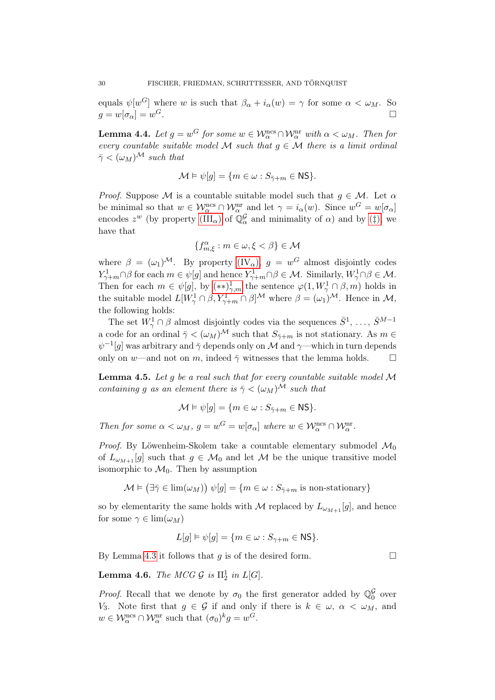equals  $\psi[w^G]$  where w is such that  $\beta_{\alpha} + i_{\alpha}(w) = \gamma$  for some  $\alpha < \omega_M$ . So  $q = w[\sigma_{\alpha}] = w^G.$  $G$ .

<span id="page-29-1"></span>**Lemma 4.4.** Let  $g = w^G$  for some  $w \in \mathcal{W}_\alpha^{\text{ncs}} \cap \mathcal{W}_\alpha^{\text{nr}}$  with  $\alpha < \omega_M$ . Then for every countable suitable model M such that  $g \in \mathcal{M}$  there is a limit ordinal  $\bar{\gamma} < (\omega_M)^{\mathcal{M}}$  such that

$$
\mathcal{M} \vDash \psi[g] = \{ m \in \omega : S_{\bar{\gamma}+m} \in \mathsf{NS} \}.
$$

*Proof.* Suppose M is a countable suitable model such that  $g \in M$ . Let  $\alpha$ be minimal so that  $w \in \mathcal{W}_\alpha^{\text{ncs}} \cap \mathcal{W}_\alpha^{\text{nr}}$  and let  $\gamma = i_\alpha(w)$ . Since  $w^G = w[\sigma_\alpha]$ encodes  $z^w$  [\(](#page-23-1)by property  $(III_\alpha)$  of  $\mathbb{Q}_\alpha^{\mathcal{G}}$  and minimality of  $\alpha$ ) and by (‡), we have that

$$
\{f^{\alpha}_{m,\xi}: m\in\omega, \xi<\beta\}\in\mathcal{M}
$$

where  $\beta = (\omega_1)^{\mathcal{M}}$ . By property  $(V_\alpha)$ ,  $g = w^G$  almost disjointly codes  $Y_{\gamma+m}^1 \cap \beta$  for each  $m \in \psi[g]$  and hence  $Y_{\gamma+m}^1 \cap \beta \in \mathcal{M}$ . Similarly,  $W_{\gamma}^1 \cap \beta \in \mathcal{M}$ . Then for each  $m \in \psi[g]$ , by  $(**)_{\gamma,m}^1$  the sentence  $\varphi(1, W_\gamma^1 \cap \beta, m)$  holds in the suitable model  $L[W_\gamma^1 \cap \beta, Y_{\gamma+m}^1 \cap \beta]^{\mathcal{M}}$  where  $\beta = (\omega_1)^{\mathcal{M}}$ . Hence in  $\mathcal{M},$ the following holds:

The set  $W^1_\gamma \cap \beta$  almost disjointly codes via the sequences  $\bar{S}^1, \ldots, \bar{S}^{M-1}$ a code for an ordinal  $\bar{\gamma} < (\omega_M)^{\mathcal{M}}$  such that  $S_{\bar{\gamma}+m}$  is not stationary. As  $m \in$  $\psi^{-1}[g]$  was arbitrary and  $\bar{\gamma}$  depends only on  ${\cal M}$  and  $\gamma$ —which in turn depends only on w—and not on m, indeed  $\bar{\gamma}$  witnesses that the lemma holds.  $\square$ 

**Lemma 4.5.** Let g be a real such that for every countable suitable model  $M$ containing g as an element there is  $\bar{\gamma} < (\omega_M)^{\mathcal{M}}$  such that

$$
\mathcal{M} \vDash \psi[g] = \{ m \in \omega : S_{\bar{\gamma}+m} \in \mathsf{NS} \}.
$$

Then for some  $\alpha < \omega_M$ ,  $g = w^G = w[\sigma_\alpha]$  where  $w \in \mathcal{W}_\alpha^{\text{nc}} \cap \mathcal{W}_\alpha^{\text{nr}}$ .

Proof. By Löwenheim-Skolem take a countable elementary submodel  $\mathcal{M}_0$ of  $L_{\omega_{M+1}}[g]$  such that  $g \in \mathcal{M}_0$  and let M be the unique transitive model isomorphic to  $\mathcal{M}_0$ . Then by assumption

$$
\mathcal{M} \models (\exists \bar{\gamma} \in \lim(\omega_M)) \ \psi[g] = \{ m \in \omega : S_{\bar{\gamma}+m} \text{ is non-stationary} \}
$$

so by elementarity the same holds with M replaced by  $L_{\omega_{M+1}}[g]$ , and hence for some  $\gamma \in \lim(\omega_M)$ 

$$
L[g] \vDash \psi[g] = \{ m \in \omega : S_{\gamma+m} \in \mathsf{NS} \}.
$$

By Lemma [4.3](#page-28-0) it follows that g is of the desired form.  $\Box$ 

<span id="page-29-0"></span>**Lemma 4.6.** The MCG  $\mathcal{G}$  is  $\Pi^1_2$  in  $L[G]$ .

*Proof.* Recall that we denote by  $\sigma_0$  the first generator added by  $\mathbb{Q}_0^{\mathcal{G}}$  over V<sub>3</sub>. Note first that  $g \in \mathcal{G}$  if and only if there is  $k \in \omega$ ,  $\alpha < \omega_M$ , and  $w \in \mathcal{W}_\alpha^{\text{ncs}} \cap \mathcal{W}_\alpha^{\text{nr}}$  such that  $(\sigma_0)^k g = w^G$ .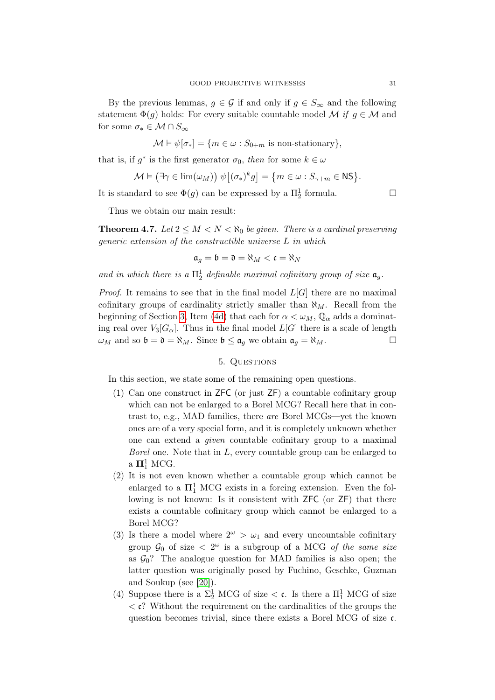By the previous lemmas,  $g \in \mathcal{G}$  if and only if  $g \in S_{\infty}$  and the following statement  $\Phi(q)$  holds: For every suitable countable model M if  $q \in \mathcal{M}$  and for some  $\sigma_* \in \mathcal{M} \cap S_\infty$ 

$$
\mathcal{M} \models \psi[\sigma_*] = \{ m \in \omega : S_{0+m} \text{ is non-stationary} \},
$$

that is, if  $g^*$  is the first generator  $\sigma_0$ , then for some  $k \in \omega$ 

$$
\mathcal{M} \vDash (\exists \gamma \in \text{lim}(\omega_M)) \ \psi\big[(\sigma_*)^k g\big] = \big\{m \in \omega : S_{\gamma+m} \in \text{NS}\big\}.
$$

It is standard to see  $\Phi(g)$  can be expressed by a  $\Pi_2^1$  formula.

Thus we obtain our main result:

**Theorem 4.7.** Let  $2 \leq M < N < \aleph_0$  be given. There is a cardinal preserving generic extension of the constructible universe L in which

$$
\mathfrak{a}_g = \mathfrak{b} = \mathfrak{d} = \aleph_M < \mathfrak{c} = \aleph_N
$$

and in which there is a  $\Pi^1_2$  definable maximal cofinitary group of size  $\mathfrak{a}_g$ .

*Proof.* It remains to see that in the final model  $L[G]$  there are no maximal cofinitary groups of cardinality strictly smaller than  $\aleph_M$ . Recall from the beginning of Section [3,](#page-19-0) Item [\(4d\)](#page-21-2) that each for  $\alpha < \omega_M$ ,  $\mathbb{Q}_\alpha$  adds a dominating real over  $V_3[G_\alpha]$ . Thus in the final model  $L[G]$  there is a scale of length  $\omega_M$  and so  $\mathfrak{b} = \mathfrak{d} = \aleph_M$ . Since  $\mathfrak{b} \leq \mathfrak{a}_g$  we obtain  $\mathfrak{a}_g = \aleph_M$ .

# 5. Questions

<span id="page-30-0"></span>In this section, we state some of the remaining open questions.

- (1) Can one construct in ZFC (or just ZF) a countable cofinitary group which can not be enlarged to a Borel MCG? Recall here that in contrast to, e.g., MAD families, there are Borel MCGs—yet the known ones are of a very special form, and it is completely unknown whether one can extend a given countable cofinitary group to a maximal Borel one. Note that in  $L$ , every countable group can be enlarged to a  $\Pi^1_1$  MCG.
- (2) It is not even known whether a countable group which cannot be enlarged to a  $\mathbf{\Pi}^1_1$  MCG exists in a forcing extension. Even the following is not known: Is it consistent with ZFC (or ZF) that there exists a countable cofinitary group which cannot be enlarged to a Borel MCG?
- (3) Is there a model where  $2^{\omega} > \omega_1$  and every uncountable cofinitary group  $\mathcal{G}_0$  of size  $\langle 2^{\omega} \rangle$  is a subgroup of a MCG *of the same size* as  $\mathcal{G}_0$ ? The analogue question for MAD families is also open; the latter question was originally posed by Fuchino, Geschke, Guzman and Soukup (see [\[20\]](#page-31-16)).
- (4) Suppose there is a  $\Sigma^1_2$  MCG of size  $\lt c$ . Is there a  $\Pi^1_1$  MCG of size  $\langle \mathbf{c}^2 \rangle$  Without the requirement on the cardinalities of the groups the question becomes trivial, since there exists a Borel MCG of size c.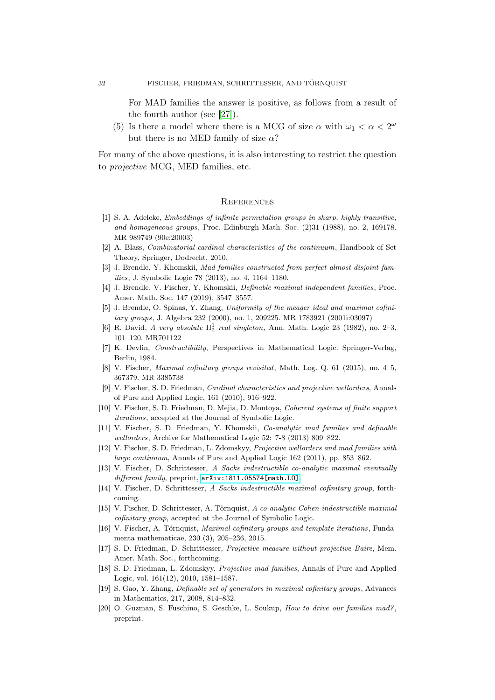For MAD families the answer is positive, as follows from a result of the fourth author (see [\[27\]](#page-32-3)).

(5) Is there a model where there is a MCG of size  $\alpha$  with  $\omega_1 < \alpha < 2^{\omega}$ but there is no MED family of size  $\alpha$ ?

For many of the above questions, it is also interesting to restrict the question to projective MCG, MED families, etc.

#### **REFERENCES**

- <span id="page-31-0"></span>[1] S. A. Adeleke, Embeddings of infinite permutation groups in sharp, highly transitive, and homogeneous groups, Proc. Edinburgh Math. Soc. (2)31 (1988), no. 2, 169178. MR 989749 (90e:20003)
- <span id="page-31-6"></span>[2] A. Blass, Combinatorial cardinal characteristics of the continuum, Handbook of Set Theory, Springer, Dodrecht, 2010.
- <span id="page-31-8"></span>[3] J. Brendle, Y. Khomskii, Mad families constructed from perfect almost disjoint families, J. Symbolic Logic 78 (2013), no. 4, 1164–1180.
- <span id="page-31-11"></span>[4] J. Brendle, V. Fischer, Y. Khomskii, Definable maximal independent families, Proc. Amer. Math. Soc. 147 (2019), 3547–3557.
- <span id="page-31-1"></span>[5] J. Brendle, O. Spinas, Y. Zhang, Uniformity of the meager ideal and maximal cofinitary groups, J. Algebra 232 (2000), no. 1, 209225. MR 1783921 (2001i:03097)
- <span id="page-31-12"></span>[6] R. David, A very absolute  $\Pi_2^1$  real singleton, Ann. Math. Logic 23 (1982), no. 2-3, 101–120. MR701122
- [7] K. Devlin, Constructibility, Perspectives in Mathematical Logic. Springer-Verlag, Berlin, 1984.
- <span id="page-31-2"></span>[8] V. Fischer, Maximal cofinitary groups revisited, Math. Log. Q. 61 (2015), no. 4–5, 367379. MR 3385738
- <span id="page-31-14"></span>[9] V. Fischer, S. D. Friedman, Cardinal characteristics and projective wellorders, Annals of Pure and Applied Logic, 161 (2010), 916–922.
- [10] V. Fischer, S. D. Friedman, D. Mejia, D. Montoya, Coherent systems of finite support iterations, accepted at the Journal of Symbolic Logic.
- <span id="page-31-9"></span>[11] V. Fischer, S. D. Friedman, Y. Khomskii, Co-analytic mad families and definable wellorders, Archive for Mathematical Logic 52: 7-8 (2013) 809–822.
- <span id="page-31-15"></span>[12] V. Fischer, S. D. Friedman, L. Zdomskyy, Projective wellorders and mad families with large continuum, Annals of Pure and Applied Logic 162 (2011), pp. 853–862.
- <span id="page-31-7"></span>[13] V. Fischer, D. Schrittesser, A Sacks indestructible co-analytic maximal eventually different family, preprint,  $arXiv:1811.05574$ [math.LO].
- [14] V. Fischer, D. Schrittesser, A Sacks indestructible maximal cofinitary group, forthcoming.
- <span id="page-31-5"></span>[15] V. Fischer, D. Schrittesser, A. Törnquist, A co-analytic Cohen-indestructible maximal cofinitary group, accepted at the Journal of Symbolic Logic.
- <span id="page-31-3"></span>[16] V. Fischer, A. Törnquist, Maximal cofinitary groups and template iterations, Fundamenta mathematicae, 230 (3), 205–236, 2015.
- <span id="page-31-13"></span>[17] S. D. Friedman, D. Schrittesser, Projective measure without projective Baire, Mem. Amer. Math. Soc., forthcoming.
- <span id="page-31-10"></span>[18] S. D. Friedman, L. Zdomskyy, Projective mad families, Annals of Pure and Applied Logic, vol. 161(12), 2010, 1581–1587.
- <span id="page-31-4"></span>[19] S. Gao, Y. Zhang, Definable set of generators in maximal cofinitary groups, Advances in Mathematics, 217, 2008, 814–832.
- <span id="page-31-16"></span>[20] O. Guzman, S. Fuschino, S. Geschke, L. Soukup, How to drive our families mad? , preprint.